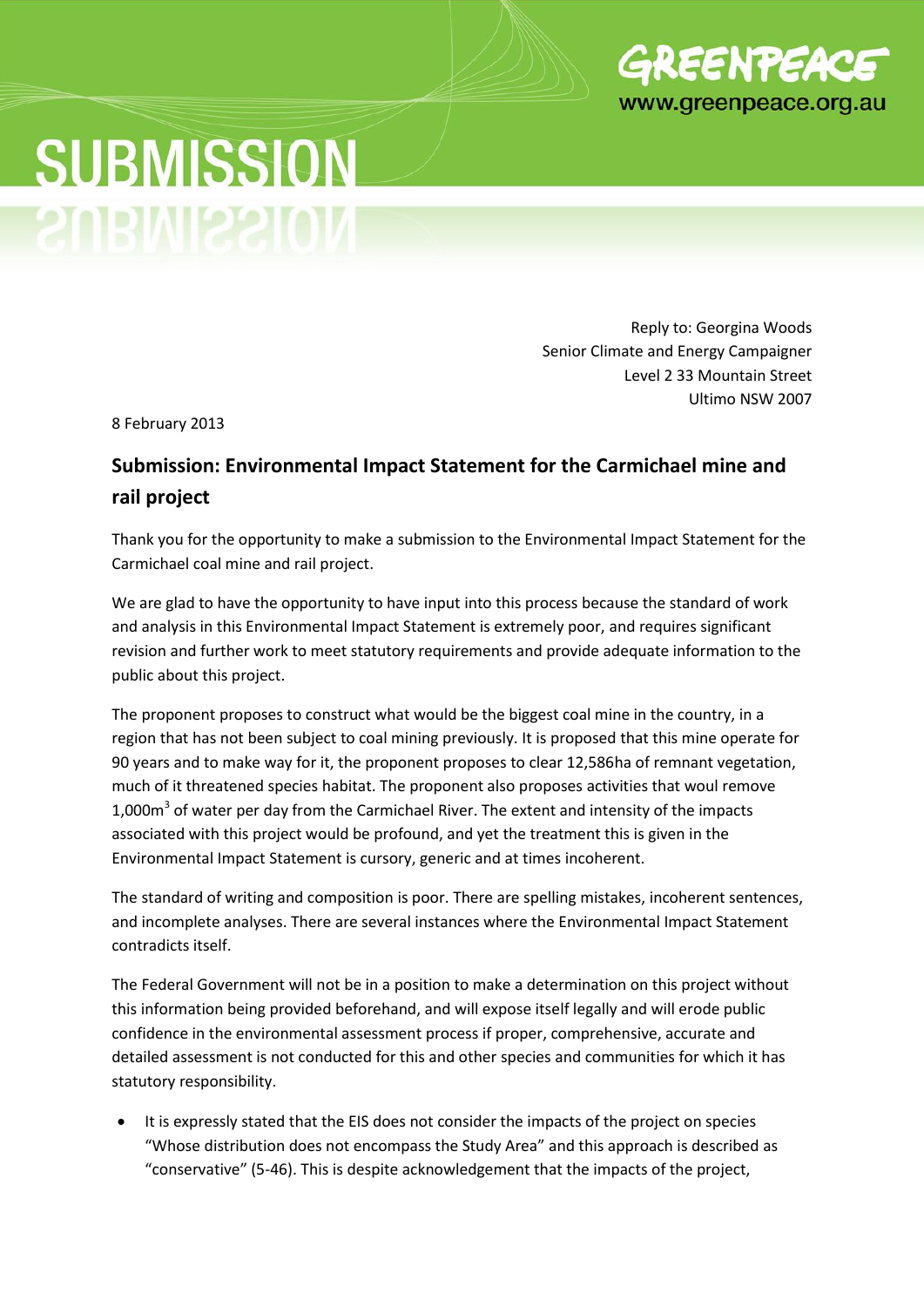

# **SUBMISSION** SUBMISS

Reply to: Georgina Woods Senior Climate and Energy Campaigner Level 2 33 Mountain Street Ultimo NSW 2007

8 February 2013

## **Submission: Environmental Impact Statement for the Carmichael mine and rail project**

Thank you for the opportunity to make a submission to the Environmental Impact Statement for the Carmichael coal mine and rail project.

We are glad to have the opportunity to have input into this process because the standard of work and analysis in this Environmental Impact Statement is extremely poor, and requires significant revision and further work to meet statutory requirements and provide adequate information to the public about this project.

The proponent proposes to construct what would be the biggest coal mine in the country, in a region that has not been subject to coal mining previously. It is proposed that this mine operate for 90 years and to make way for it, the proponent proposes to clear 12,586ha of remnant vegetation, much of it threatened species habitat. The proponent also proposes activities that woul remove 1,000m<sup>3</sup> of water per day from the Carmichael River. The extent and intensity of the impacts associated with this project would be profound, and yet the treatment this is given in the Environmental Impact Statement is cursory, generic and at times incoherent.

The standard of writing and composition is poor. There are spelling mistakes, incoherent sentences, and incomplete analyses. There are several instances where the Environmental Impact Statement contradicts itself.

The Federal Government will not be in a position to make a determination on this project without this information being provided beforehand, and will expose itself legally and will erode public confidence in the environmental assessment process if proper, comprehensive, accurate and detailed assessment is not conducted for this and other species and communities for which it has statutory responsibility.

 It is expressly stated that the EIS does not consider the impacts of the project on species "Whose distribution does not encompass the Study Area" and this approach is described as "conservative" (5-46). This is despite acknowledgement that the impacts of the project,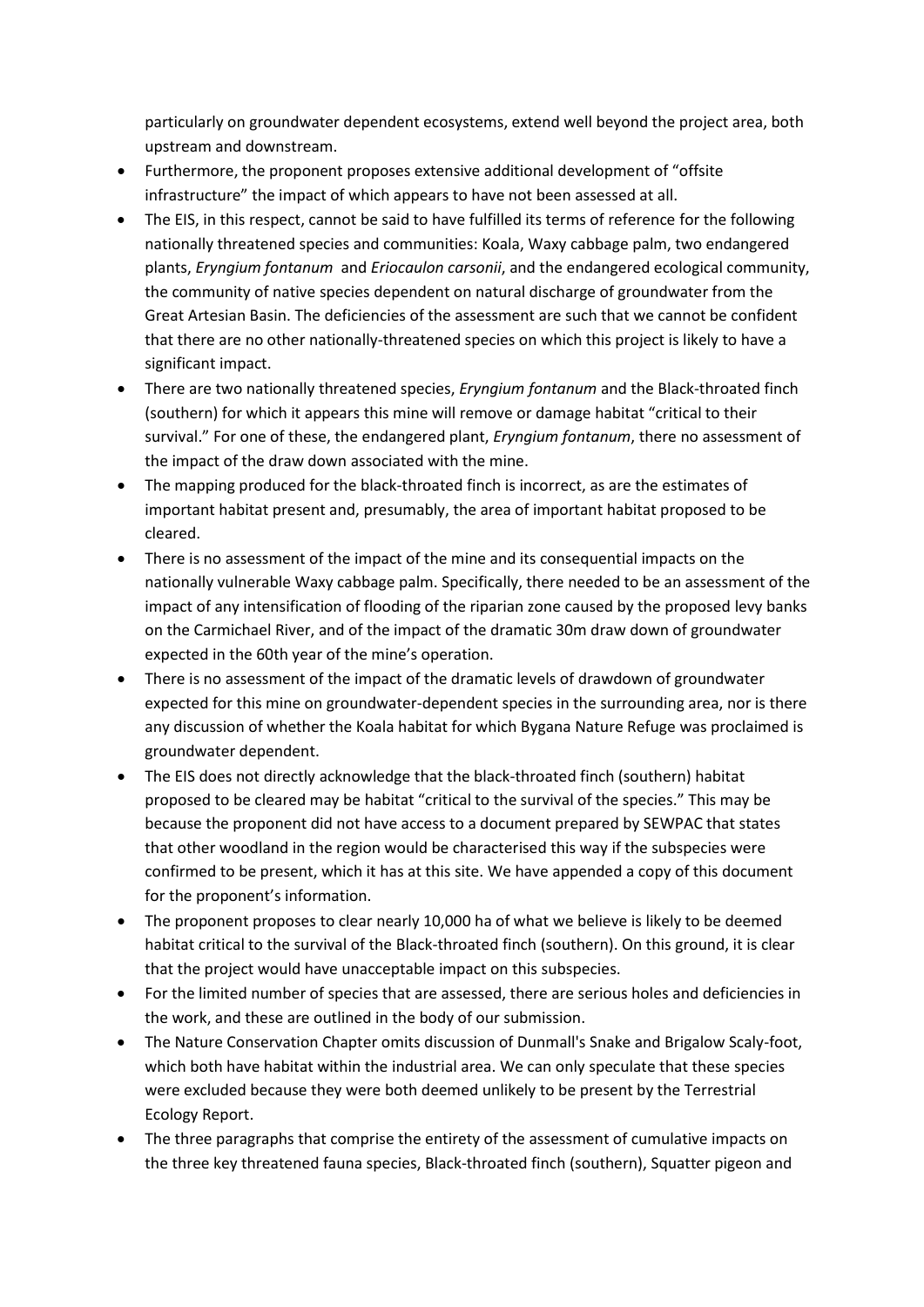particularly on groundwater dependent ecosystems, extend well beyond the project area, both upstream and downstream.

- Furthermore, the proponent proposes extensive additional development of "offsite infrastructure" the impact of which appears to have not been assessed at all.
- The EIS, in this respect, cannot be said to have fulfilled its terms of reference for the following nationally threatened species and communities: Koala, Waxy cabbage palm, two endangered plants, *Eryngium fontanum*and *Eriocaulon carsonii*, and the endangered ecological community, the community of native species dependent on natural discharge of groundwater from the Great Artesian Basin. The deficiencies of the assessment are such that we cannot be confident that there are no other nationally-threatened species on which this project is likely to have a significant impact.
- There are two nationally threatened species, *Eryngium fontanum* and the Black-throated finch (southern) for which it appears this mine will remove or damage habitat "critical to their survival." For one of these, the endangered plant, *Eryngium fontanum*, there no assessment of the impact of the draw down associated with the mine.
- The mapping produced for the black-throated finch is incorrect, as are the estimates of important habitat present and, presumably, the area of important habitat proposed to be cleared.
- There is no assessment of the impact of the mine and its consequential impacts on the nationally vulnerable Waxy cabbage palm. Specifically, there needed to be an assessment of the impact of any intensification of flooding of the riparian zone caused by the proposed levy banks on the Carmichael River, and of the impact of the dramatic 30m draw down of groundwater expected in the 60th year of the mine's operation.
- There is no assessment of the impact of the dramatic levels of drawdown of groundwater expected for this mine on groundwater-dependent species in the surrounding area, nor is there any discussion of whether the Koala habitat for which Bygana Nature Refuge was proclaimed is groundwater dependent.
- The EIS does not directly acknowledge that the black-throated finch (southern) habitat proposed to be cleared may be habitat "critical to the survival of the species." This may be because the proponent did not have access to a document prepared by SEWPAC that states that other woodland in the region would be characterised this way if the subspecies were confirmed to be present, which it has at this site. We have appended a copy of this document for the proponent's information.
- The proponent proposes to clear nearly 10,000 ha of what we believe is likely to be deemed habitat critical to the survival of the Black-throated finch (southern). On this ground, it is clear that the project would have unacceptable impact on this subspecies.
- For the limited number of species that are assessed, there are serious holes and deficiencies in the work, and these are outlined in the body of our submission.
- The Nature Conservation Chapter omits discussion of Dunmall's Snake and Brigalow Scaly-foot, which both have habitat within the industrial area. We can only speculate that these species were excluded because they were both deemed unlikely to be present by the Terrestrial Ecology Report.
- The three paragraphs that comprise the entirety of the assessment of cumulative impacts on the three key threatened fauna species, Black-throated finch (southern), Squatter pigeon and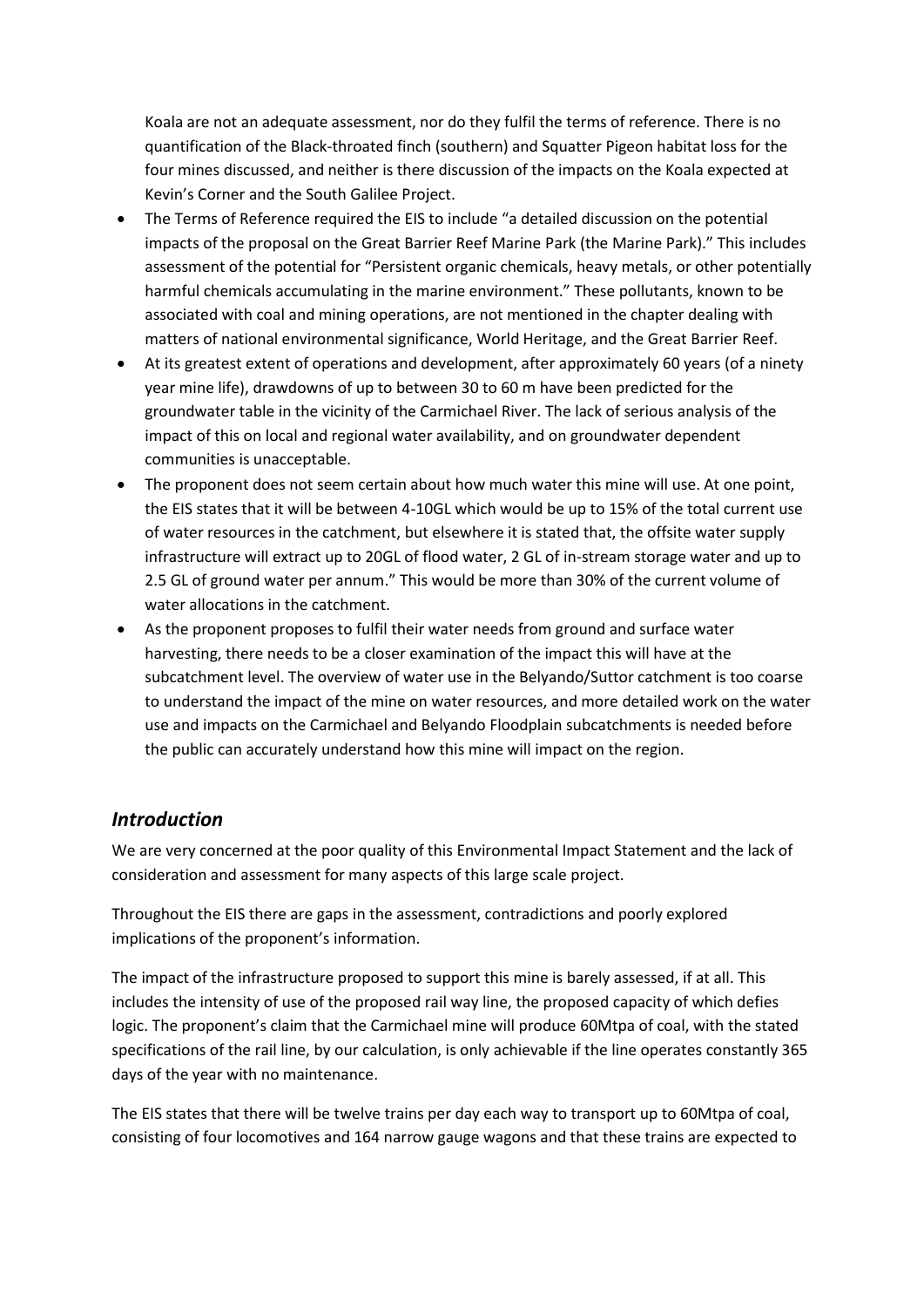Koala are not an adequate assessment, nor do they fulfil the terms of reference. There is no quantification of the Black-throated finch (southern) and Squatter Pigeon habitat loss for the four mines discussed, and neither is there discussion of the impacts on the Koala expected at Kevin's Corner and the South Galilee Project.

- The Terms of Reference required the EIS to include "a detailed discussion on the potential impacts of the proposal on the Great Barrier Reef Marine Park (the Marine Park)." This includes assessment of the potential for "Persistent organic chemicals, heavy metals, or other potentially harmful chemicals accumulating in the marine environment." These pollutants, known to be associated with coal and mining operations, are not mentioned in the chapter dealing with matters of national environmental significance, World Heritage, and the Great Barrier Reef.
- At its greatest extent of operations and development, after approximately 60 years (of a ninety year mine life), drawdowns of up to between 30 to 60 m have been predicted for the groundwater table in the vicinity of the Carmichael River. The lack of serious analysis of the impact of this on local and regional water availability, and on groundwater dependent communities is unacceptable.
- The proponent does not seem certain about how much water this mine will use. At one point, the EIS states that it will be between 4-10GL which would be up to 15% of the total current use of water resources in the catchment, but elsewhere it is stated that, the offsite water supply infrastructure will extract up to 20GL of flood water, 2 GL of in-stream storage water and up to 2.5 GL of ground water per annum." This would be more than 30% of the current volume of water allocations in the catchment.
- As the proponent proposes to fulfil their water needs from ground and surface water harvesting, there needs to be a closer examination of the impact this will have at the subcatchment level. The overview of water use in the Belyando/Suttor catchment is too coarse to understand the impact of the mine on water resources, and more detailed work on the water use and impacts on the Carmichael and Belyando Floodplain subcatchments is needed before the public can accurately understand how this mine will impact on the region.

## *Introduction*

We are very concerned at the poor quality of this Environmental Impact Statement and the lack of consideration and assessment for many aspects of this large scale project.

Throughout the EIS there are gaps in the assessment, contradictions and poorly explored implications of the proponent's information.

The impact of the infrastructure proposed to support this mine is barely assessed, if at all. This includes the intensity of use of the proposed rail way line, the proposed capacity of which defies logic. The proponent's claim that the Carmichael mine will produce 60Mtpa of coal, with the stated specifications of the rail line, by our calculation, is only achievable if the line operates constantly 365 days of the year with no maintenance.

The EIS states that there will be twelve trains per day each way to transport up to 60Mtpa of coal, consisting of four locomotives and 164 narrow gauge wagons and that these trains are expected to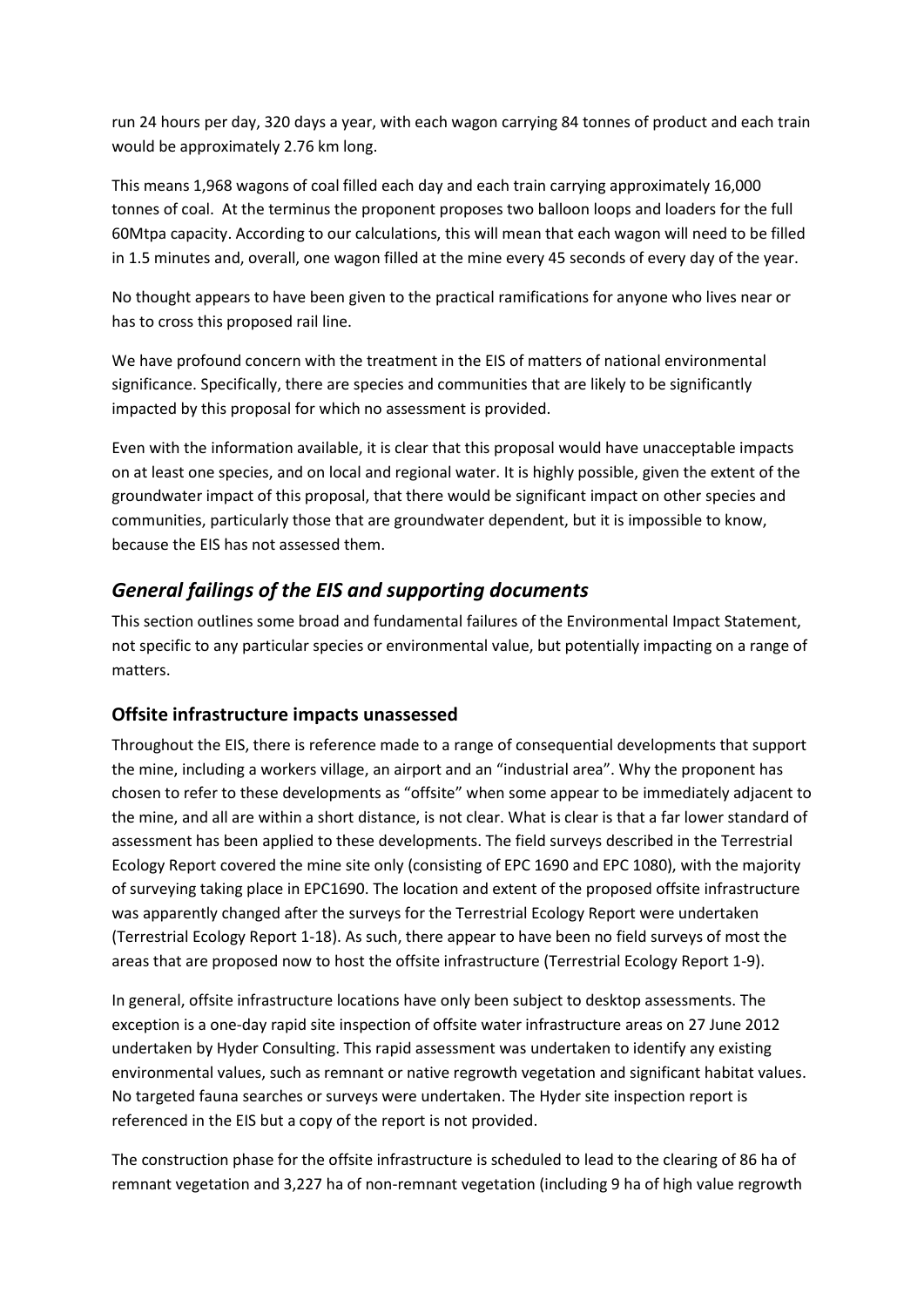run 24 hours per day, 320 days a year, with each wagon carrying 84 tonnes of product and each train would be approximately 2.76 km long.

This means 1,968 wagons of coal filled each day and each train carrying approximately 16,000 tonnes of coal. At the terminus the proponent proposes two balloon loops and loaders for the full 60Mtpa capacity. According to our calculations, this will mean that each wagon will need to be filled in 1.5 minutes and, overall, one wagon filled at the mine every 45 seconds of every day of the year.

No thought appears to have been given to the practical ramifications for anyone who lives near or has to cross this proposed rail line.

We have profound concern with the treatment in the EIS of matters of national environmental significance. Specifically, there are species and communities that are likely to be significantly impacted by this proposal for which no assessment is provided.

Even with the information available, it is clear that this proposal would have unacceptable impacts on at least one species, and on local and regional water. It is highly possible, given the extent of the groundwater impact of this proposal, that there would be significant impact on other species and communities, particularly those that are groundwater dependent, but it is impossible to know, because the EIS has not assessed them.

## *General failings of the EIS and supporting documents*

This section outlines some broad and fundamental failures of the Environmental Impact Statement, not specific to any particular species or environmental value, but potentially impacting on a range of matters.

## **Offsite infrastructure impacts unassessed**

Throughout the EIS, there is reference made to a range of consequential developments that support the mine, including a workers village, an airport and an "industrial area". Why the proponent has chosen to refer to these developments as "offsite" when some appear to be immediately adjacent to the mine, and all are within a short distance, is not clear. What is clear is that a far lower standard of assessment has been applied to these developments. The field surveys described in the Terrestrial Ecology Report covered the mine site only (consisting of EPC 1690 and EPC 1080), with the majority of surveying taking place in EPC1690. The location and extent of the proposed offsite infrastructure was apparently changed after the surveys for the Terrestrial Ecology Report were undertaken (Terrestrial Ecology Report 1-18). As such, there appear to have been no field surveys of most the areas that are proposed now to host the offsite infrastructure (Terrestrial Ecology Report 1-9).

In general, offsite infrastructure locations have only been subject to desktop assessments. The exception is a one-day rapid site inspection of offsite water infrastructure areas on 27 June 2012 undertaken by Hyder Consulting. This rapid assessment was undertaken to identify any existing environmental values, such as remnant or native regrowth vegetation and significant habitat values. No targeted fauna searches or surveys were undertaken. The Hyder site inspection report is referenced in the EIS but a copy of the report is not provided.

The construction phase for the offsite infrastructure is scheduled to lead to the clearing of 86 ha of remnant vegetation and 3,227 ha of non-remnant vegetation (including 9 ha of high value regrowth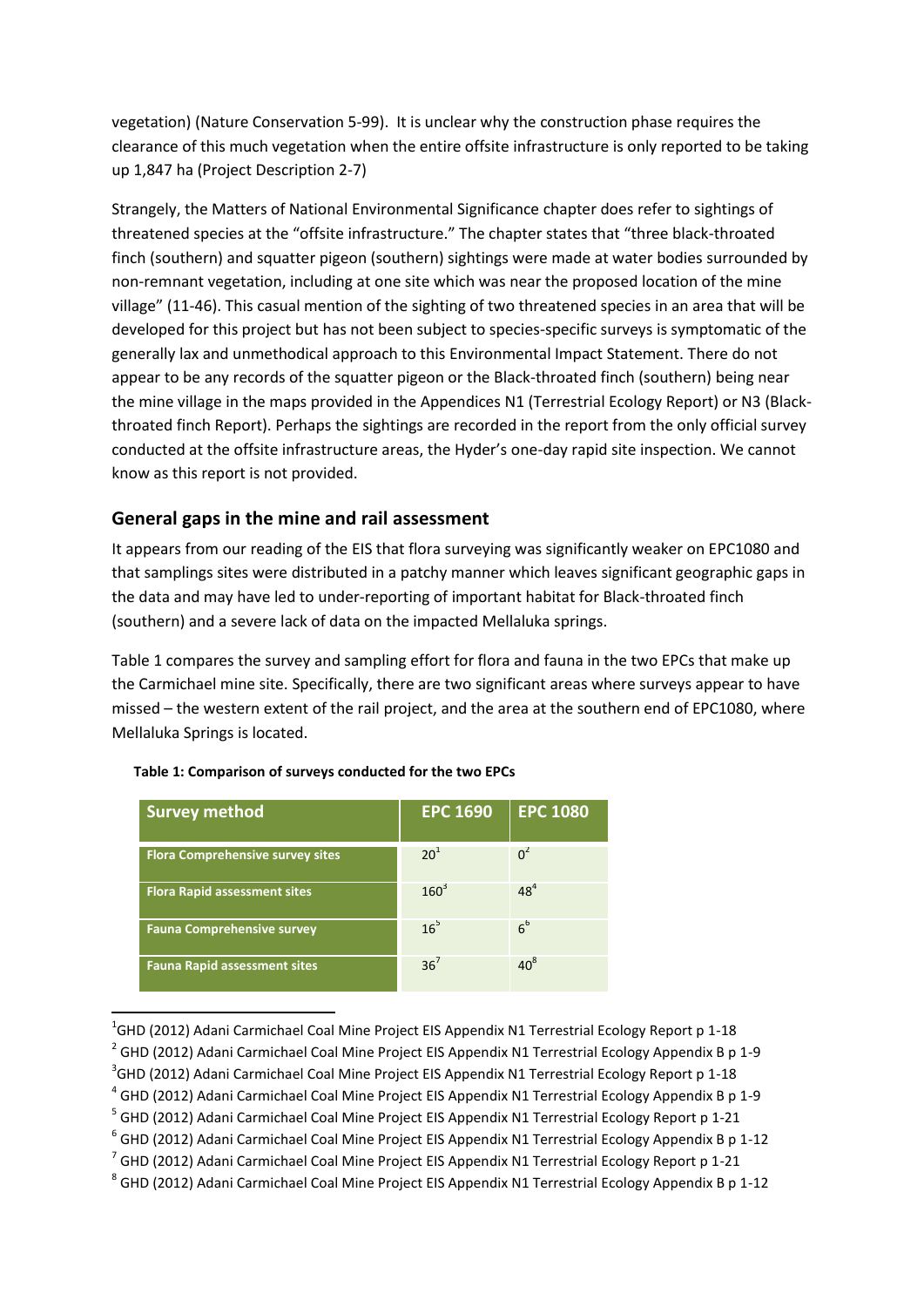vegetation) (Nature Conservation 5-99). It is unclear why the construction phase requires the clearance of this much vegetation when the entire offsite infrastructure is only reported to be taking up 1,847 ha (Project Description 2-7)

Strangely, the Matters of National Environmental Significance chapter does refer to sightings of threatened species at the "offsite infrastructure." The chapter states that "three black-throated finch (southern) and squatter pigeon (southern) sightings were made at water bodies surrounded by non-remnant vegetation, including at one site which was near the proposed location of the mine village" (11-46). This casual mention of the sighting of two threatened species in an area that will be developed for this project but has not been subject to species-specific surveys is symptomatic of the generally lax and unmethodical approach to this Environmental Impact Statement. There do not appear to be any records of the squatter pigeon or the Black-throated finch (southern) being near the mine village in the maps provided in the Appendices N1 (Terrestrial Ecology Report) or N3 (Blackthroated finch Report). Perhaps the sightings are recorded in the report from the only official survey conducted at the offsite infrastructure areas, the Hyder's one-day rapid site inspection. We cannot know as this report is not provided.

#### **General gaps in the mine and rail assessment**

It appears from our reading of the EIS that flora surveying was significantly weaker on EPC1080 and that samplings sites were distributed in a patchy manner which leaves significant geographic gaps in the data and may have led to under-reporting of important habitat for Black-throated finch (southern) and a severe lack of data on the impacted Mellaluka springs.

Table 1 compares the survey and sampling effort for flora and fauna in the two EPCs that make up the Carmichael mine site. Specifically, there are two significant areas where surveys appear to have missed – the western extent of the rail project, and the area at the southern end of EPC1080, where Mellaluka Springs is located.

| <b>Survey method</b>                    | <b>EPC 1690</b> | <b>EPC 1080</b> |
|-----------------------------------------|-----------------|-----------------|
| <b>Flora Comprehensive survey sites</b> | 20 <sup>1</sup> | $\Omega^2$      |
| <b>Flora Rapid assessment sites</b>     | $160^3$         | $48^4$          |
| <b>Fauna Comprehensive survey</b>       | $16^{5}$        | $6^6$           |
| <b>Fauna Rapid assessment sites</b>     | 36'             | $40^8$          |

**Table 1: Comparison of surveys conducted for the two EPCs**

**.** 

 $^{1}$ GHD (2012) Adani Carmichael Coal Mine Project EIS Appendix N1 Terrestrial Ecology Report p 1-18

<sup>&</sup>lt;sup>2</sup> GHD (2012) Adani Carmichael Coal Mine Project EIS Appendix N1 Terrestrial Ecology Appendix B p 1-9

<sup>&</sup>lt;sup>3</sup>GHD (2012) Adani Carmichael Coal Mine Project EIS Appendix N1 Terrestrial Ecology Report p 1-18

<sup>&</sup>lt;sup>4</sup> GHD (2012) Adani Carmichael Coal Mine Project EIS Appendix N1 Terrestrial Ecology Appendix B p 1-9

<sup>&</sup>lt;sup>5</sup> GHD (2012) Adani Carmichael Coal Mine Project EIS Appendix N1 Terrestrial Ecology Report p 1-21

<sup>&</sup>lt;sup>6</sup> GHD (2012) Adani Carmichael Coal Mine Project EIS Appendix N1 Terrestrial Ecology Appendix B p 1-12

 $^7$  GHD (2012) Adani Carmichael Coal Mine Project EIS Appendix N1 Terrestrial Ecology Report p 1-21

 $^8$  GHD (2012) Adani Carmichael Coal Mine Project EIS Appendix N1 Terrestrial Ecology Appendix B p 1-12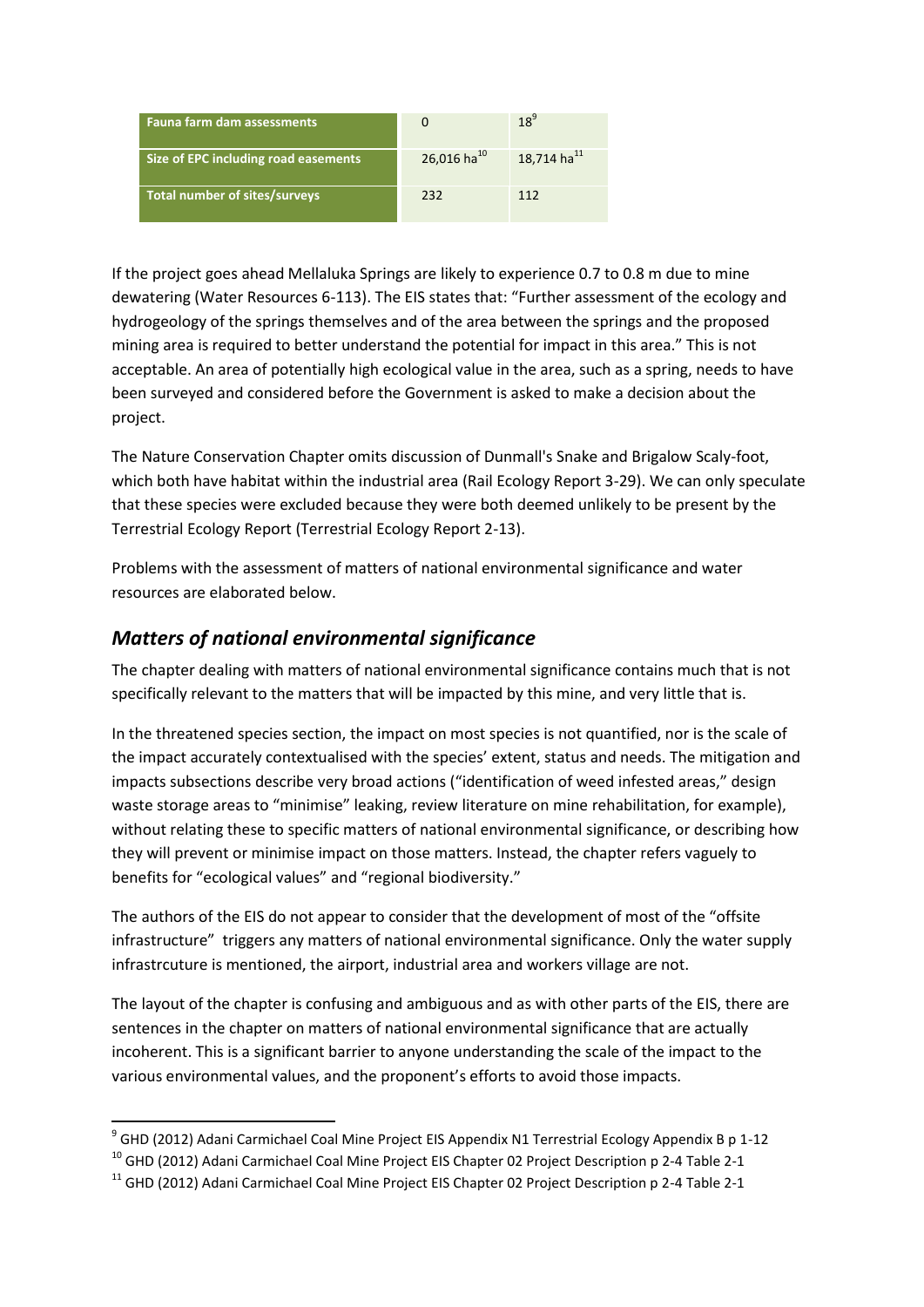| <b>Fauna farm dam assessments</b>    |                         | $18^9$                  |
|--------------------------------------|-------------------------|-------------------------|
| Size of EPC including road easements | 26,016 ha <sup>10</sup> | 18,714 ha <sup>11</sup> |
| Total number of sites/surveys        | 232                     | 112                     |

If the project goes ahead Mellaluka Springs are likely to experience 0.7 to 0.8 m due to mine dewatering (Water Resources 6-113). The EIS states that: "Further assessment of the ecology and hydrogeology of the springs themselves and of the area between the springs and the proposed mining area is required to better understand the potential for impact in this area." This is not acceptable. An area of potentially high ecological value in the area, such as a spring, needs to have been surveyed and considered before the Government is asked to make a decision about the project.

The Nature Conservation Chapter omits discussion of Dunmall's Snake and Brigalow Scaly-foot, which both have habitat within the industrial area (Rail Ecology Report 3-29). We can only speculate that these species were excluded because they were both deemed unlikely to be present by the Terrestrial Ecology Report (Terrestrial Ecology Report 2-13).

Problems with the assessment of matters of national environmental significance and water resources are elaborated below.

## *Matters of national environmental significance*

**.** 

The chapter dealing with matters of national environmental significance contains much that is not specifically relevant to the matters that will be impacted by this mine, and very little that is.

In the threatened species section, the impact on most species is not quantified, nor is the scale of the impact accurately contextualised with the species' extent, status and needs. The mitigation and impacts subsections describe very broad actions ("identification of weed infested areas," design waste storage areas to "minimise" leaking, review literature on mine rehabilitation, for example), without relating these to specific matters of national environmental significance, or describing how they will prevent or minimise impact on those matters. Instead, the chapter refers vaguely to benefits for "ecological values" and "regional biodiversity."

The authors of the EIS do not appear to consider that the development of most of the "offsite infrastructure" triggers any matters of national environmental significance. Only the water supply infrastrcuture is mentioned, the airport, industrial area and workers village are not.

The layout of the chapter is confusing and ambiguous and as with other parts of the EIS, there are sentences in the chapter on matters of national environmental significance that are actually incoherent. This is a significant barrier to anyone understanding the scale of the impact to the various environmental values, and the proponent's efforts to avoid those impacts.

<sup>&</sup>lt;sup>9</sup> GHD (2012) Adani Carmichael Coal Mine Project EIS Appendix N1 Terrestrial Ecology Appendix B p 1-12

 $10$  GHD (2012) Adani Carmichael Coal Mine Project EIS Chapter 02 Project Description p 2-4 Table 2-1

<sup>&</sup>lt;sup>11</sup> GHD (2012) Adani Carmichael Coal Mine Project EIS Chapter 02 Project Description p 2-4 Table 2-1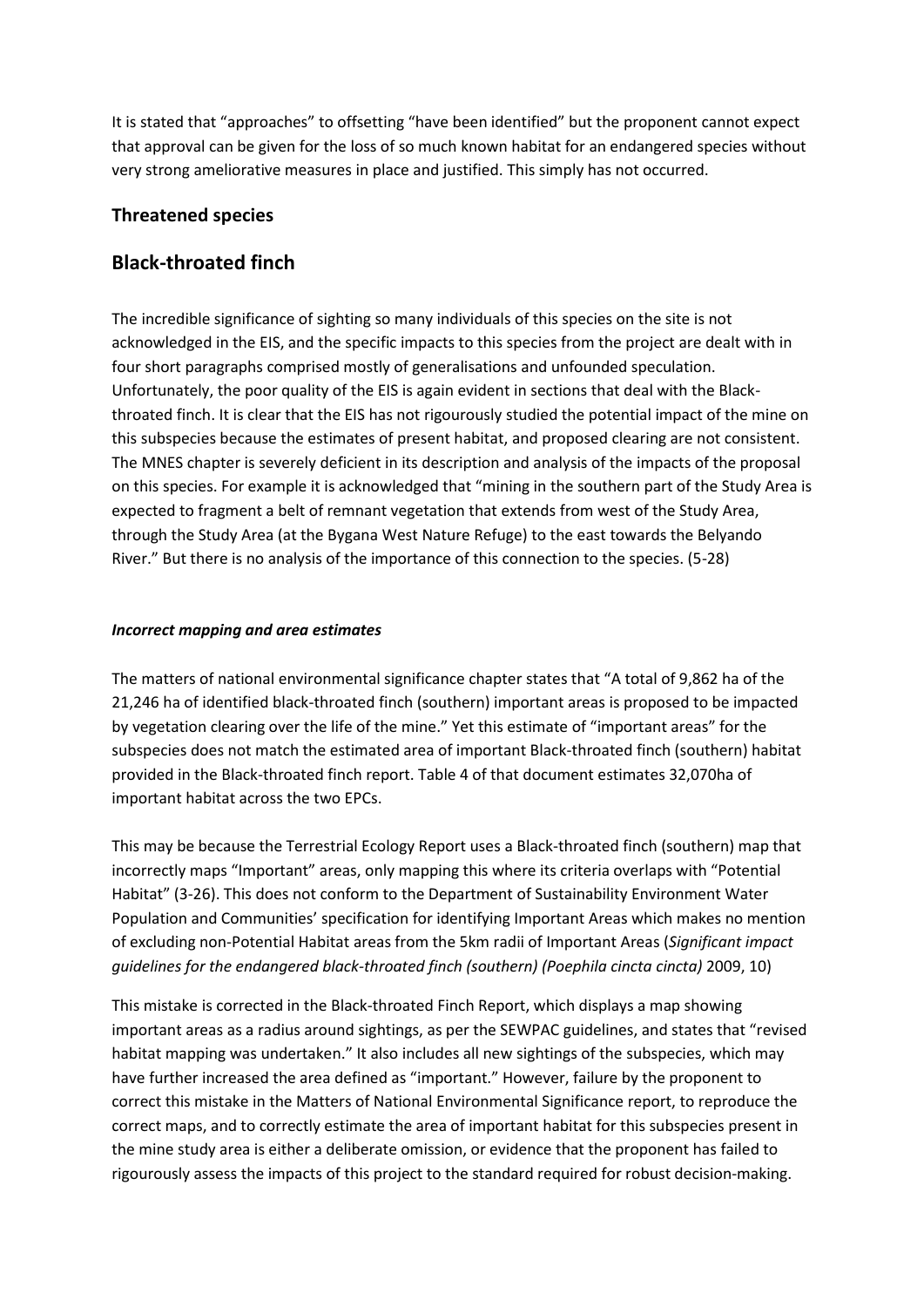It is stated that "approaches" to offsetting "have been identified" but the proponent cannot expect that approval can be given for the loss of so much known habitat for an endangered species without very strong ameliorative measures in place and justified. This simply has not occurred.

#### **Threatened species**

#### **Black-throated finch**

The incredible significance of sighting so many individuals of this species on the site is not acknowledged in the EIS, and the specific impacts to this species from the project are dealt with in four short paragraphs comprised mostly of generalisations and unfounded speculation. Unfortunately, the poor quality of the EIS is again evident in sections that deal with the Blackthroated finch. It is clear that the EIS has not rigourously studied the potential impact of the mine on this subspecies because the estimates of present habitat, and proposed clearing are not consistent. The MNES chapter is severely deficient in its description and analysis of the impacts of the proposal on this species. For example it is acknowledged that "mining in the southern part of the Study Area is expected to fragment a belt of remnant vegetation that extends from west of the Study Area, through the Study Area (at the Bygana West Nature Refuge) to the east towards the Belyando River." But there is no analysis of the importance of this connection to the species. (5-28)

#### *Incorrect mapping and area estimates*

The matters of national environmental significance chapter states that "A total of 9,862 ha of the 21,246 ha of identified black-throated finch (southern) important areas is proposed to be impacted by vegetation clearing over the life of the mine." Yet this estimate of "important areas" for the subspecies does not match the estimated area of important Black-throated finch (southern) habitat provided in the Black-throated finch report. Table 4 of that document estimates 32,070ha of important habitat across the two EPCs.

This may be because the Terrestrial Ecology Report uses a Black-throated finch (southern) map that incorrectly maps "Important" areas, only mapping this where its criteria overlaps with "Potential Habitat" (3-26). This does not conform to the Department of Sustainability Environment Water Population and Communities' specification for identifying Important Areas which makes no mention of excluding non-Potential Habitat areas from the 5km radii of Important Areas (*Significant impact guidelines for the endangered black-throated finch (southern) (Poephila cincta cincta)* 2009, 10)

This mistake is corrected in the Black-throated Finch Report, which displays a map showing important areas as a radius around sightings, as per the SEWPAC guidelines, and states that "revised habitat mapping was undertaken." It also includes all new sightings of the subspecies, which may have further increased the area defined as "important." However, failure by the proponent to correct this mistake in the Matters of National Environmental Significance report, to reproduce the correct maps, and to correctly estimate the area of important habitat for this subspecies present in the mine study area is either a deliberate omission, or evidence that the proponent has failed to rigourously assess the impacts of this project to the standard required for robust decision-making.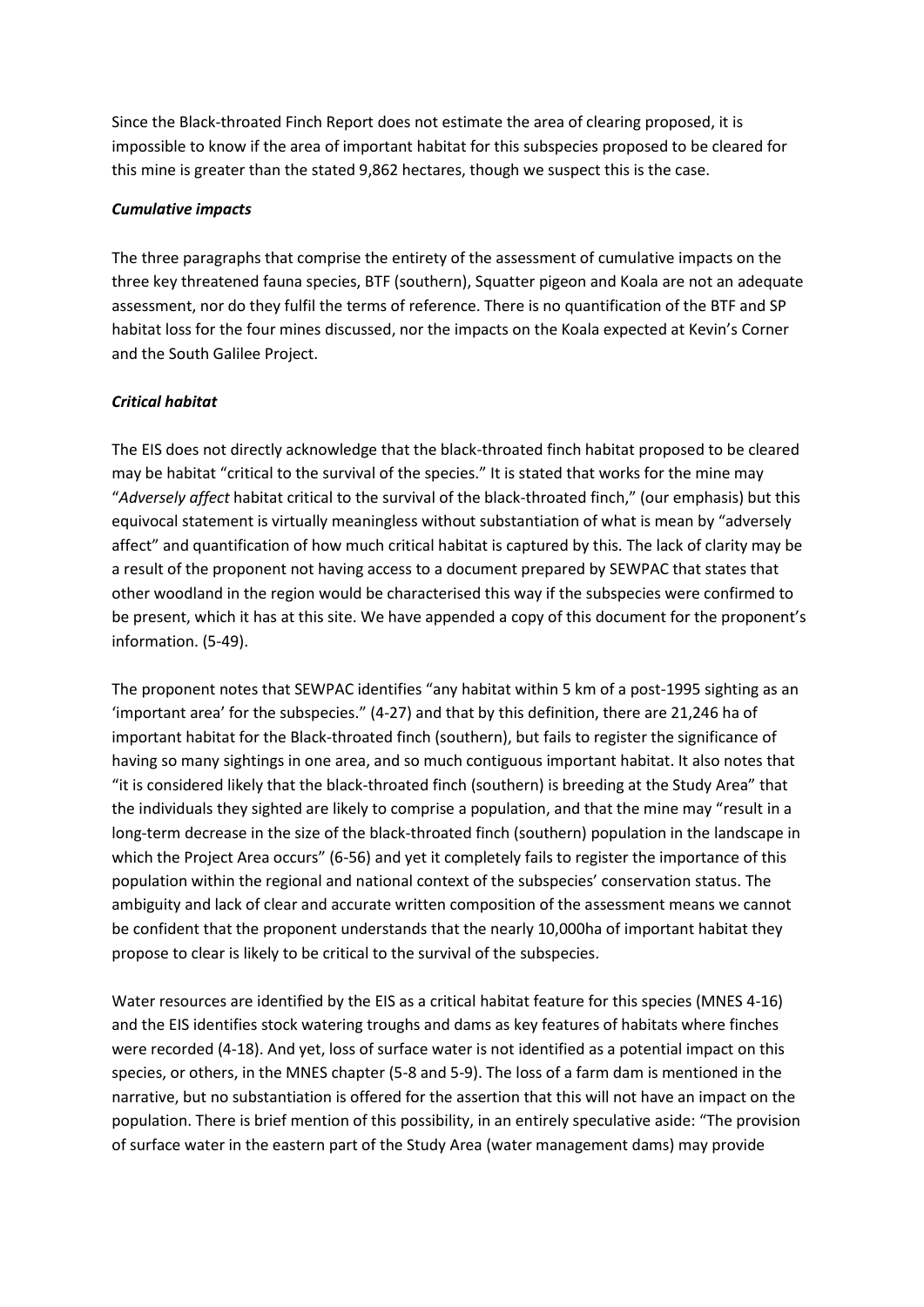Since the Black-throated Finch Report does not estimate the area of clearing proposed, it is impossible to know if the area of important habitat for this subspecies proposed to be cleared for this mine is greater than the stated 9,862 hectares, though we suspect this is the case.

#### *Cumulative impacts*

The three paragraphs that comprise the entirety of the assessment of cumulative impacts on the three key threatened fauna species, BTF (southern), Squatter pigeon and Koala are not an adequate assessment, nor do they fulfil the terms of reference. There is no quantification of the BTF and SP habitat loss for the four mines discussed, nor the impacts on the Koala expected at Kevin's Corner and the South Galilee Project.

#### *Critical habitat*

The EIS does not directly acknowledge that the black-throated finch habitat proposed to be cleared may be habitat "critical to the survival of the species." It is stated that works for the mine may "*Adversely affect* habitat critical to the survival of the black-throated finch," (our emphasis) but this equivocal statement is virtually meaningless without substantiation of what is mean by "adversely affect" and quantification of how much critical habitat is captured by this. The lack of clarity may be a result of the proponent not having access to a document prepared by SEWPAC that states that other woodland in the region would be characterised this way if the subspecies were confirmed to be present, which it has at this site. We have appended a copy of this document for the proponent's information. (5-49).

The proponent notes that SEWPAC identifies "any habitat within 5 km of a post-1995 sighting as an 'important area' for the subspecies." (4-27) and that by this definition, there are 21,246 ha of important habitat for the Black-throated finch (southern), but fails to register the significance of having so many sightings in one area, and so much contiguous important habitat. It also notes that "it is considered likely that the black-throated finch (southern) is breeding at the Study Area" that the individuals they sighted are likely to comprise a population, and that the mine may "result in a long-term decrease in the size of the black-throated finch (southern) population in the landscape in which the Project Area occurs" (6-56) and yet it completely fails to register the importance of this population within the regional and national context of the subspecies' conservation status. The ambiguity and lack of clear and accurate written composition of the assessment means we cannot be confident that the proponent understands that the nearly 10,000ha of important habitat they propose to clear is likely to be critical to the survival of the subspecies.

Water resources are identified by the EIS as a critical habitat feature for this species (MNES 4-16) and the EIS identifies stock watering troughs and dams as key features of habitats where finches were recorded (4-18). And yet, loss of surface water is not identified as a potential impact on this species, or others, in the MNES chapter (5-8 and 5-9). The loss of a farm dam is mentioned in the narrative, but no substantiation is offered for the assertion that this will not have an impact on the population. There is brief mention of this possibility, in an entirely speculative aside: "The provision of surface water in the eastern part of the Study Area (water management dams) may provide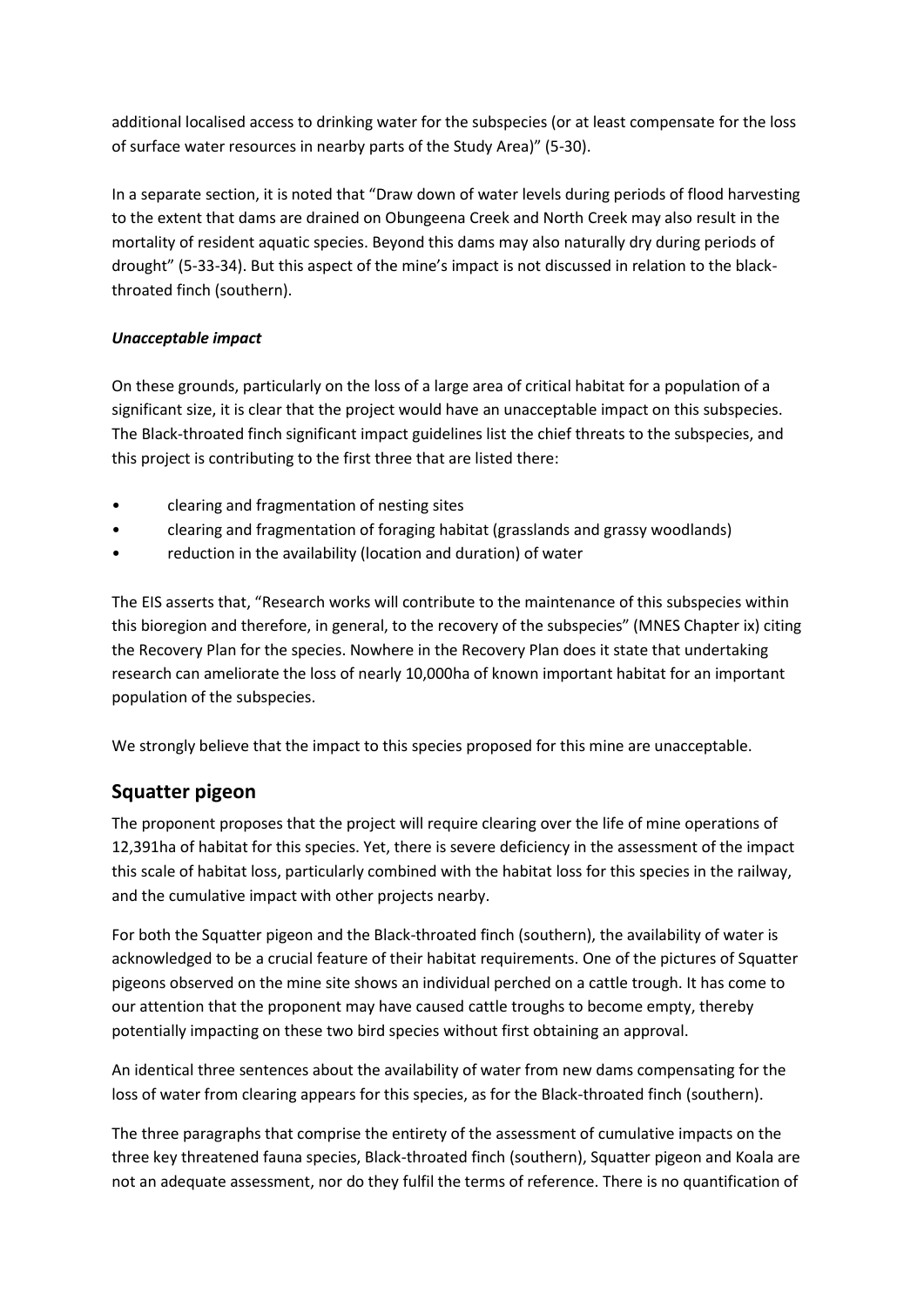additional localised access to drinking water for the subspecies (or at least compensate for the loss of surface water resources in nearby parts of the Study Area)" (5-30).

In a separate section, it is noted that "Draw down of water levels during periods of flood harvesting to the extent that dams are drained on Obungeena Creek and North Creek may also result in the mortality of resident aquatic species. Beyond this dams may also naturally dry during periods of drought" (5-33-34). But this aspect of the mine's impact is not discussed in relation to the blackthroated finch (southern).

#### *Unacceptable impact*

On these grounds, particularly on the loss of a large area of critical habitat for a population of a significant size, it is clear that the project would have an unacceptable impact on this subspecies. The Black-throated finch significant impact guidelines list the chief threats to the subspecies, and this project is contributing to the first three that are listed there:

- clearing and fragmentation of nesting sites
- clearing and fragmentation of foraging habitat (grasslands and grassy woodlands)
- reduction in the availability (location and duration) of water

The EIS asserts that, "Research works will contribute to the maintenance of this subspecies within this bioregion and therefore, in general, to the recovery of the subspecies" (MNES Chapter ix) citing the Recovery Plan for the species. Nowhere in the Recovery Plan does it state that undertaking research can ameliorate the loss of nearly 10,000ha of known important habitat for an important population of the subspecies.

We strongly believe that the impact to this species proposed for this mine are unacceptable.

## **Squatter pigeon**

The proponent proposes that the project will require clearing over the life of mine operations of 12,391ha of habitat for this species. Yet, there is severe deficiency in the assessment of the impact this scale of habitat loss, particularly combined with the habitat loss for this species in the railway, and the cumulative impact with other projects nearby.

For both the Squatter pigeon and the Black-throated finch (southern), the availability of water is acknowledged to be a crucial feature of their habitat requirements. One of the pictures of Squatter pigeons observed on the mine site shows an individual perched on a cattle trough. It has come to our attention that the proponent may have caused cattle troughs to become empty, thereby potentially impacting on these two bird species without first obtaining an approval.

An identical three sentences about the availability of water from new dams compensating for the loss of water from clearing appears for this species, as for the Black-throated finch (southern).

The three paragraphs that comprise the entirety of the assessment of cumulative impacts on the three key threatened fauna species, Black-throated finch (southern), Squatter pigeon and Koala are not an adequate assessment, nor do they fulfil the terms of reference. There is no quantification of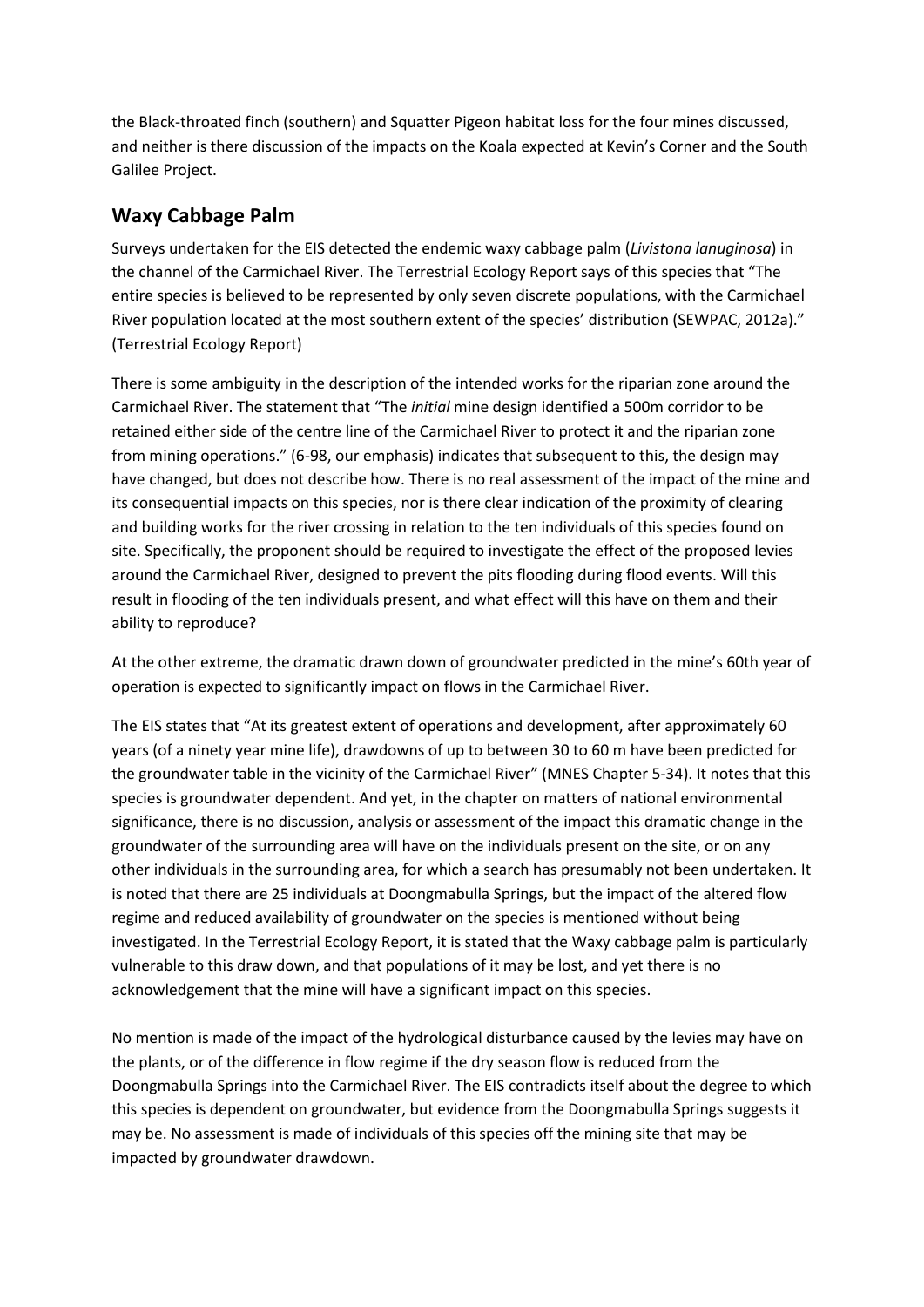the Black-throated finch (southern) and Squatter Pigeon habitat loss for the four mines discussed, and neither is there discussion of the impacts on the Koala expected at Kevin's Corner and the South Galilee Project.

## **Waxy Cabbage Palm**

Surveys undertaken for the EIS detected the endemic waxy cabbage palm (*Livistona lanuginosa*) in the channel of the Carmichael River. The Terrestrial Ecology Report says of this species that "The entire species is believed to be represented by only seven discrete populations, with the Carmichael River population located at the most southern extent of the species' distribution (SEWPAC, 2012a)." (Terrestrial Ecology Report)

There is some ambiguity in the description of the intended works for the riparian zone around the Carmichael River. The statement that "The *initial* mine design identified a 500m corridor to be retained either side of the centre line of the Carmichael River to protect it and the riparian zone from mining operations." (6-98, our emphasis) indicates that subsequent to this, the design may have changed, but does not describe how. There is no real assessment of the impact of the mine and its consequential impacts on this species, nor is there clear indication of the proximity of clearing and building works for the river crossing in relation to the ten individuals of this species found on site. Specifically, the proponent should be required to investigate the effect of the proposed levies around the Carmichael River, designed to prevent the pits flooding during flood events. Will this result in flooding of the ten individuals present, and what effect will this have on them and their ability to reproduce?

At the other extreme, the dramatic drawn down of groundwater predicted in the mine's 60th year of operation is expected to significantly impact on flows in the Carmichael River.

The EIS states that "At its greatest extent of operations and development, after approximately 60 years (of a ninety year mine life), drawdowns of up to between 30 to 60 m have been predicted for the groundwater table in the vicinity of the Carmichael River" (MNES Chapter 5-34). It notes that this species is groundwater dependent. And yet, in the chapter on matters of national environmental significance, there is no discussion, analysis or assessment of the impact this dramatic change in the groundwater of the surrounding area will have on the individuals present on the site, or on any other individuals in the surrounding area, for which a search has presumably not been undertaken. It is noted that there are 25 individuals at Doongmabulla Springs, but the impact of the altered flow regime and reduced availability of groundwater on the species is mentioned without being investigated. In the Terrestrial Ecology Report, it is stated that the Waxy cabbage palm is particularly vulnerable to this draw down, and that populations of it may be lost, and yet there is no acknowledgement that the mine will have a significant impact on this species.

No mention is made of the impact of the hydrological disturbance caused by the levies may have on the plants, or of the difference in flow regime if the dry season flow is reduced from the Doongmabulla Springs into the Carmichael River. The EIS contradicts itself about the degree to which this species is dependent on groundwater, but evidence from the Doongmabulla Springs suggests it may be. No assessment is made of individuals of this species off the mining site that may be impacted by groundwater drawdown.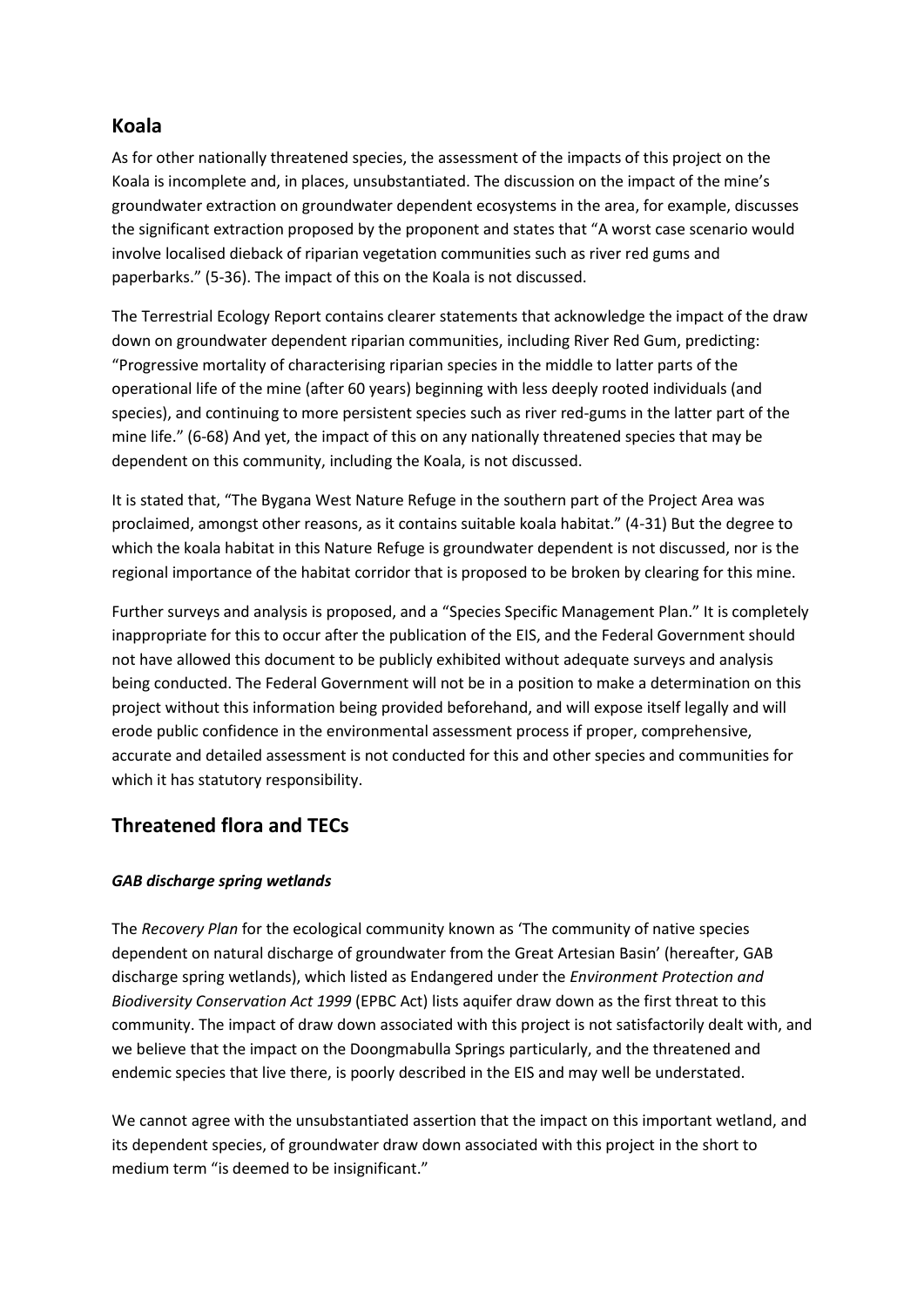#### **Koala**

As for other nationally threatened species, the assessment of the impacts of this project on the Koala is incomplete and, in places, unsubstantiated. The discussion on the impact of the mine's groundwater extraction on groundwater dependent ecosystems in the area, for example, discusses the significant extraction proposed by the proponent and states that "A worst case scenario would involve localised dieback of riparian vegetation communities such as river red gums and paperbarks." (5-36). The impact of this on the Koala is not discussed.

The Terrestrial Ecology Report contains clearer statements that acknowledge the impact of the draw down on groundwater dependent riparian communities, including River Red Gum, predicting: "Progressive mortality of characterising riparian species in the middle to latter parts of the operational life of the mine (after 60 years) beginning with less deeply rooted individuals (and species), and continuing to more persistent species such as river red-gums in the latter part of the mine life." (6-68) And yet, the impact of this on any nationally threatened species that may be dependent on this community, including the Koala, is not discussed.

It is stated that, "The Bygana West Nature Refuge in the southern part of the Project Area was proclaimed, amongst other reasons, as it contains suitable koala habitat." (4-31) But the degree to which the koala habitat in this Nature Refuge is groundwater dependent is not discussed, nor is the regional importance of the habitat corridor that is proposed to be broken by clearing for this mine.

Further surveys and analysis is proposed, and a "Species Specific Management Plan." It is completely inappropriate for this to occur after the publication of the EIS, and the Federal Government should not have allowed this document to be publicly exhibited without adequate surveys and analysis being conducted. The Federal Government will not be in a position to make a determination on this project without this information being provided beforehand, and will expose itself legally and will erode public confidence in the environmental assessment process if proper, comprehensive, accurate and detailed assessment is not conducted for this and other species and communities for which it has statutory responsibility.

## **Threatened flora and TECs**

#### *GAB discharge spring wetlands*

The *Recovery Plan* for the ecological community known as 'The community of native species dependent on natural discharge of groundwater from the Great Artesian Basin' (hereafter, GAB discharge spring wetlands), which listed as Endangered under the *Environment Protection and Biodiversity Conservation Act 1999* (EPBC Act) lists aquifer draw down as the first threat to this community. The impact of draw down associated with this project is not satisfactorily dealt with, and we believe that the impact on the Doongmabulla Springs particularly, and the threatened and endemic species that live there, is poorly described in the EIS and may well be understated.

We cannot agree with the unsubstantiated assertion that the impact on this important wetland, and its dependent species, of groundwater draw down associated with this project in the short to medium term "is deemed to be insignificant."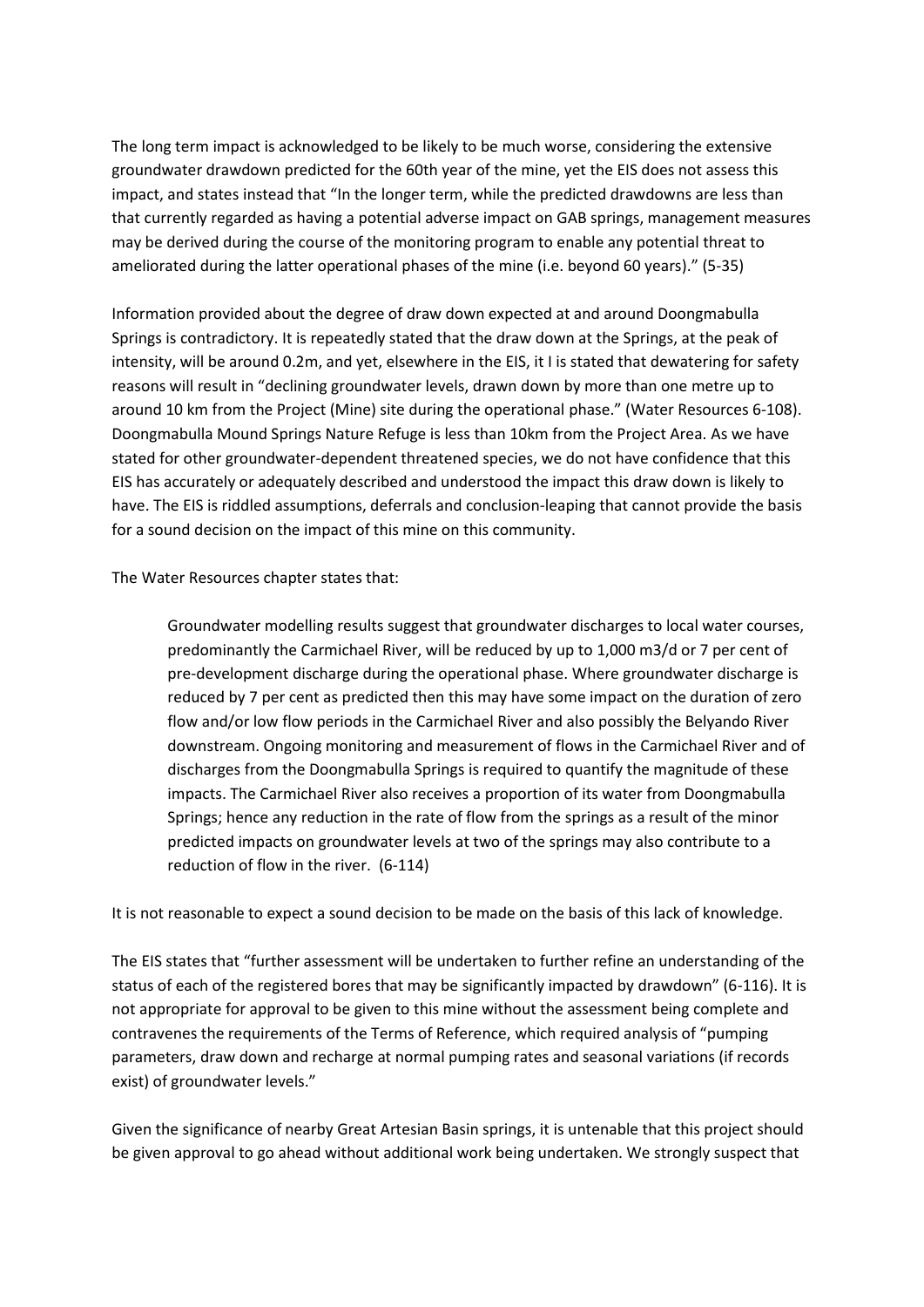The long term impact is acknowledged to be likely to be much worse, considering the extensive groundwater drawdown predicted for the 60th year of the mine, yet the EIS does not assess this impact, and states instead that "In the longer term, while the predicted drawdowns are less than that currently regarded as having a potential adverse impact on GAB springs, management measures may be derived during the course of the monitoring program to enable any potential threat to ameliorated during the latter operational phases of the mine (i.e. beyond 60 years)." (5-35)

Information provided about the degree of draw down expected at and around Doongmabulla Springs is contradictory. It is repeatedly stated that the draw down at the Springs, at the peak of intensity, will be around 0.2m, and yet, elsewhere in the EIS, it I is stated that dewatering for safety reasons will result in "declining groundwater levels, drawn down by more than one metre up to around 10 km from the Project (Mine) site during the operational phase." (Water Resources 6-108). Doongmabulla Mound Springs Nature Refuge is less than 10km from the Project Area. As we have stated for other groundwater-dependent threatened species, we do not have confidence that this EIS has accurately or adequately described and understood the impact this draw down is likely to have. The EIS is riddled assumptions, deferrals and conclusion-leaping that cannot provide the basis for a sound decision on the impact of this mine on this community.

The Water Resources chapter states that:

Groundwater modelling results suggest that groundwater discharges to local water courses, predominantly the Carmichael River, will be reduced by up to 1,000 m3/d or 7 per cent of pre-development discharge during the operational phase. Where groundwater discharge is reduced by 7 per cent as predicted then this may have some impact on the duration of zero flow and/or low flow periods in the Carmichael River and also possibly the Belyando River downstream. Ongoing monitoring and measurement of flows in the Carmichael River and of discharges from the Doongmabulla Springs is required to quantify the magnitude of these impacts. The Carmichael River also receives a proportion of its water from Doongmabulla Springs; hence any reduction in the rate of flow from the springs as a result of the minor predicted impacts on groundwater levels at two of the springs may also contribute to a reduction of flow in the river. (6-114)

It is not reasonable to expect a sound decision to be made on the basis of this lack of knowledge.

The EIS states that "further assessment will be undertaken to further refine an understanding of the status of each of the registered bores that may be significantly impacted by drawdown" (6-116). It is not appropriate for approval to be given to this mine without the assessment being complete and contravenes the requirements of the Terms of Reference, which required analysis of "pumping parameters, draw down and recharge at normal pumping rates and seasonal variations (if records exist) of groundwater levels."

Given the significance of nearby Great Artesian Basin springs, it is untenable that this project should be given approval to go ahead without additional work being undertaken. We strongly suspect that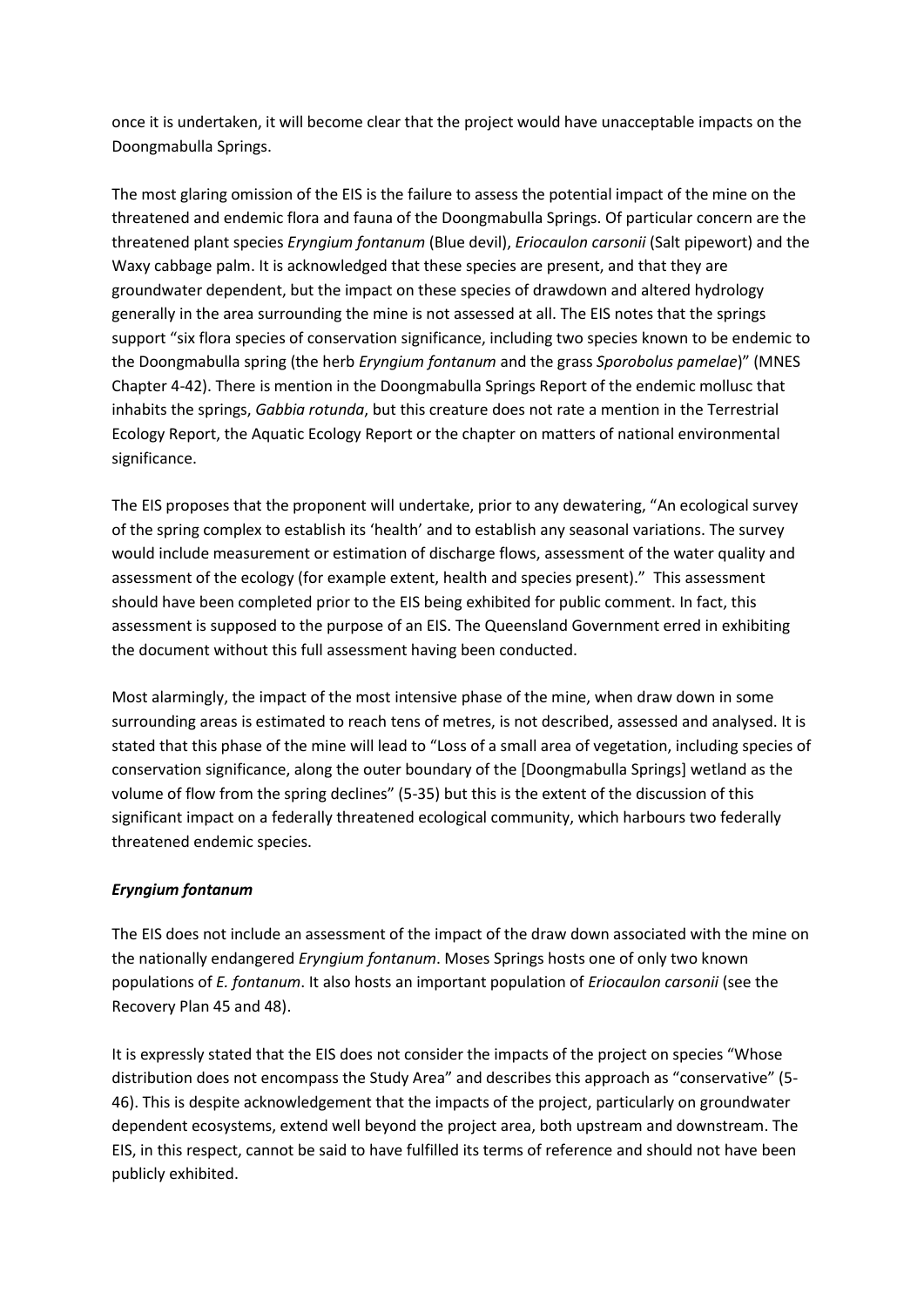once it is undertaken, it will become clear that the project would have unacceptable impacts on the Doongmabulla Springs.

The most glaring omission of the EIS is the failure to assess the potential impact of the mine on the threatened and endemic flora and fauna of the Doongmabulla Springs. Of particular concern are the threatened plant species *Eryngium fontanum* (Blue devil), *Eriocaulon carsonii* (Salt pipewort) and the Waxy cabbage palm. It is acknowledged that these species are present, and that they are groundwater dependent, but the impact on these species of drawdown and altered hydrology generally in the area surrounding the mine is not assessed at all. The EIS notes that the springs support "six flora species of conservation significance, including two species known to be endemic to the Doongmabulla spring (the herb *Eryngium fontanum* and the grass *Sporobolus pamelae*)" (MNES Chapter 4-42). There is mention in the Doongmabulla Springs Report of the endemic mollusc that inhabits the springs, *Gabbia rotunda*, but this creature does not rate a mention in the Terrestrial Ecology Report, the Aquatic Ecology Report or the chapter on matters of national environmental significance.

The EIS proposes that the proponent will undertake, prior to any dewatering, "An ecological survey of the spring complex to establish its 'health' and to establish any seasonal variations. The survey would include measurement or estimation of discharge flows, assessment of the water quality and assessment of the ecology (for example extent, health and species present)." This assessment should have been completed prior to the EIS being exhibited for public comment. In fact, this assessment is supposed to the purpose of an EIS. The Queensland Government erred in exhibiting the document without this full assessment having been conducted.

Most alarmingly, the impact of the most intensive phase of the mine, when draw down in some surrounding areas is estimated to reach tens of metres, is not described, assessed and analysed. It is stated that this phase of the mine will lead to "Loss of a small area of vegetation, including species of conservation significance, along the outer boundary of the [Doongmabulla Springs] wetland as the volume of flow from the spring declines" (5-35) but this is the extent of the discussion of this significant impact on a federally threatened ecological community, which harbours two federally threatened endemic species.

#### *Eryngium fontanum*

The EIS does not include an assessment of the impact of the draw down associated with the mine on the nationally endangered *Eryngium fontanum*. Moses Springs hosts one of only two known populations of *E. fontanum*. It also hosts an important population of *Eriocaulon carsonii* (see the Recovery Plan 45 and 48).

It is expressly stated that the EIS does not consider the impacts of the project on species "Whose distribution does not encompass the Study Area" and describes this approach as "conservative" (5- 46). This is despite acknowledgement that the impacts of the project, particularly on groundwater dependent ecosystems, extend well beyond the project area, both upstream and downstream. The EIS, in this respect, cannot be said to have fulfilled its terms of reference and should not have been publicly exhibited.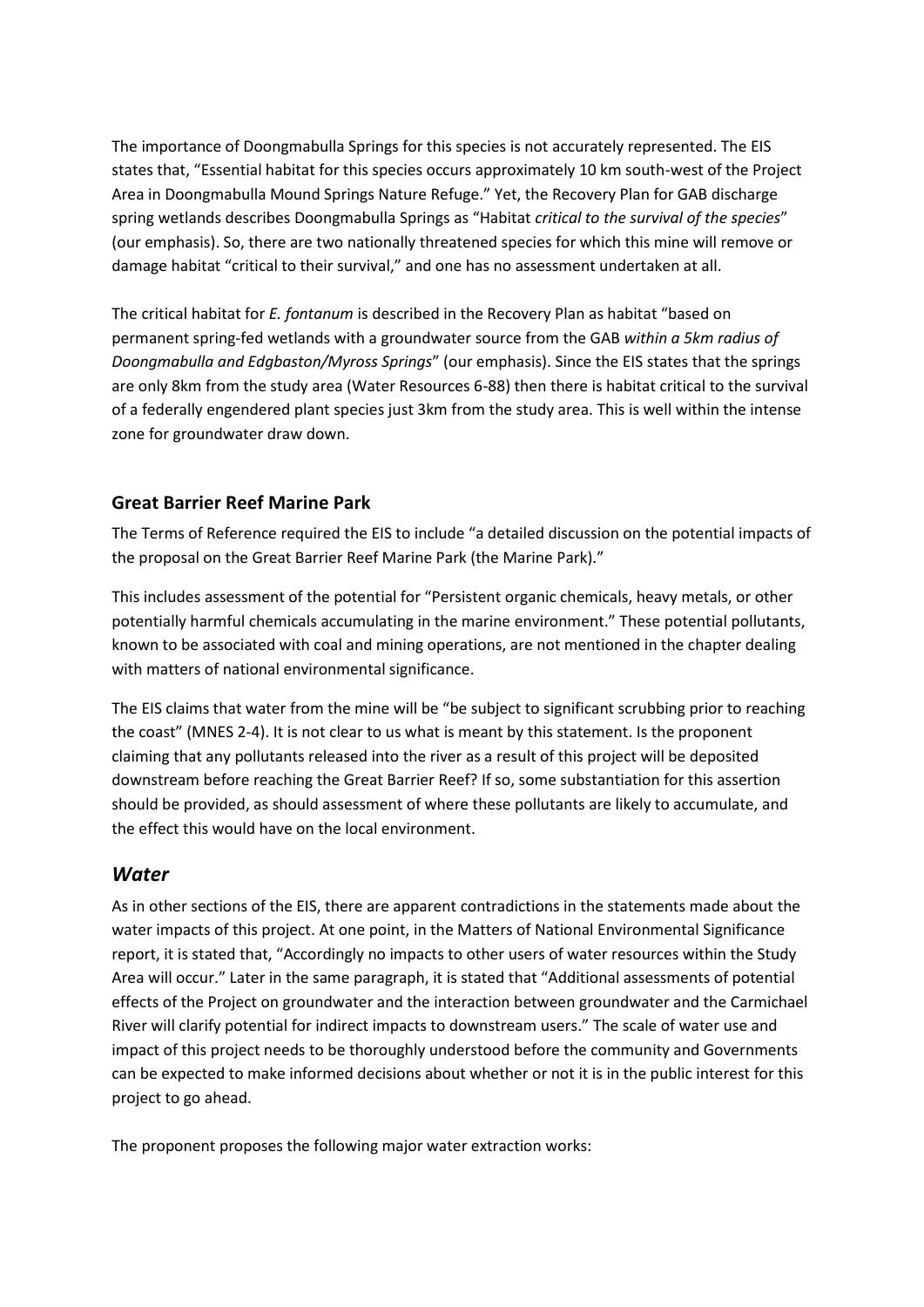The importance of Doongmabulla Springs for this species is not accurately represented. The EIS states that, "Essential habitat for this species occurs approximately 10 km south-west of the Project Area in Doongmabulla Mound Springs Nature Refuge." Yet, the Recovery Plan for GAB discharge spring wetlands describes Doongmabulla Springs as "Habitat *critical to the survival of the species*" (our emphasis). So, there are two nationally threatened species for which this mine will remove or damage habitat "critical to their survival," and one has no assessment undertaken at all.

The critical habitat for *E. fontanum* is described in the Recovery Plan as habitat "based on permanent spring-fed wetlands with a groundwater source from the GAB *within a 5km radius of Doongmabulla and Edgbaston/Myross Springs*" (our emphasis). Since the EIS states that the springs are only 8km from the study area (Water Resources 6-88) then there is habitat critical to the survival of a federally engendered plant species just 3km from the study area. This is well within the intense zone for groundwater draw down.

#### **Great Barrier Reef Marine Park**

The Terms of Reference required the EIS to include "a detailed discussion on the potential impacts of the proposal on the Great Barrier Reef Marine Park (the Marine Park)."

This includes assessment of the potential for "Persistent organic chemicals, heavy metals, or other potentially harmful chemicals accumulating in the marine environment." These potential pollutants, known to be associated with coal and mining operations, are not mentioned in the chapter dealing with matters of national environmental significance.

The EIS claims that water from the mine will be "be subject to significant scrubbing prior to reaching the coast" (MNES 2-4). It is not clear to us what is meant by this statement. Is the proponent claiming that any pollutants released into the river as a result of this project will be deposited downstream before reaching the Great Barrier Reef? If so, some substantiation for this assertion should be provided, as should assessment of where these pollutants are likely to accumulate, and the effect this would have on the local environment.

#### *Water*

As in other sections of the EIS, there are apparent contradictions in the statements made about the water impacts of this project. At one point, in the Matters of National Environmental Significance report, it is stated that, "Accordingly no impacts to other users of water resources within the Study Area will occur." Later in the same paragraph, it is stated that "Additional assessments of potential effects of the Project on groundwater and the interaction between groundwater and the Carmichael River will clarify potential for indirect impacts to downstream users." The scale of water use and impact of this project needs to be thoroughly understood before the community and Governments can be expected to make informed decisions about whether or not it is in the public interest for this project to go ahead.

The proponent proposes the following major water extraction works: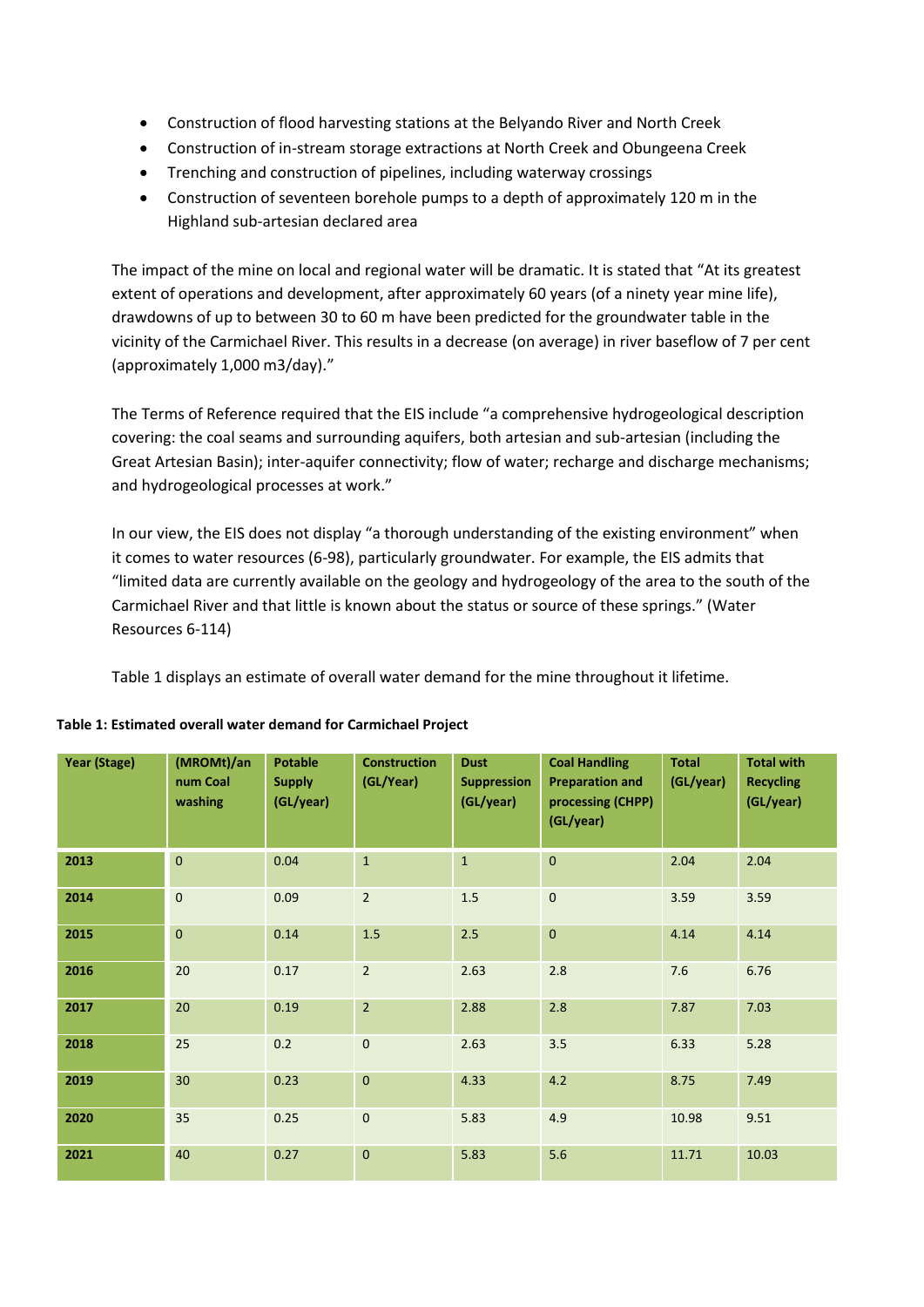- Construction of flood harvesting stations at the Belyando River and North Creek
- Construction of in-stream storage extractions at North Creek and Obungeena Creek
- Trenching and construction of pipelines, including waterway crossings
- Construction of seventeen borehole pumps to a depth of approximately 120 m in the Highland sub-artesian declared area

The impact of the mine on local and regional water will be dramatic. It is stated that "At its greatest extent of operations and development, after approximately 60 years (of a ninety year mine life), drawdowns of up to between 30 to 60 m have been predicted for the groundwater table in the vicinity of the Carmichael River. This results in a decrease (on average) in river baseflow of 7 per cent (approximately 1,000 m3/day)."

The Terms of Reference required that the EIS include "a comprehensive hydrogeological description covering: the coal seams and surrounding aquifers, both artesian and sub-artesian (including the Great Artesian Basin); inter-aquifer connectivity; flow of water; recharge and discharge mechanisms; and hydrogeological processes at work."

In our view, the EIS does not display "a thorough understanding of the existing environment" when it comes to water resources (6-98), particularly groundwater. For example, the EIS admits that "limited data are currently available on the geology and hydrogeology of the area to the south of the Carmichael River and that little is known about the status or source of these springs." (Water Resources 6-114)

Table 1 displays an estimate of overall water demand for the mine throughout it lifetime.

| <b>Year (Stage)</b> | (MROMt)/an<br>num Coal<br>washing | <b>Potable</b><br><b>Supply</b><br>(GL/year) | <b>Construction</b><br>(GL/Year) | <b>Dust</b><br><b>Suppression</b><br>(GL/year) | <b>Coal Handling</b><br><b>Preparation and</b><br>processing (CHPP)<br>(GL/year) | <b>Total</b><br>(GL/year) | <b>Total with</b><br><b>Recycling</b><br>(GL/year) |
|---------------------|-----------------------------------|----------------------------------------------|----------------------------------|------------------------------------------------|----------------------------------------------------------------------------------|---------------------------|----------------------------------------------------|
| 2013                | $\mathbf{0}$                      | 0.04                                         | $\mathbf{1}$                     | $\mathbf{1}$                                   | $\overline{0}$                                                                   | 2.04                      | 2.04                                               |
| 2014                | $\mathbf 0$                       | 0.09                                         | $\overline{2}$                   | $1.5\,$                                        | $\mathbf 0$                                                                      | 3.59                      | 3.59                                               |
| 2015                | $\mathbf 0$                       | 0.14                                         | 1.5                              | 2.5                                            | $\mathbf{0}$                                                                     | 4.14                      | 4.14                                               |
| 2016                | 20                                | 0.17                                         | $\overline{2}$                   | 2.63                                           | 2.8                                                                              | 7.6                       | 6.76                                               |
| 2017                | 20                                | 0.19                                         | $\overline{2}$                   | 2.88                                           | 2.8                                                                              | 7.87                      | 7.03                                               |
| 2018                | 25                                | 0.2                                          | $\mathbf 0$                      | 2.63                                           | 3.5                                                                              | 6.33                      | 5.28                                               |
| 2019                | 30                                | 0.23                                         | $\bf 0$                          | 4.33                                           | 4.2                                                                              | 8.75                      | 7.49                                               |
| 2020                | 35                                | 0.25                                         | $\overline{0}$                   | 5.83                                           | 4.9                                                                              | 10.98                     | 9.51                                               |
| 2021                | 40                                | 0.27                                         | $\mathbf 0$                      | 5.83                                           | 5.6                                                                              | 11.71                     | 10.03                                              |

#### **Table 1: Estimated overall water demand for Carmichael Project**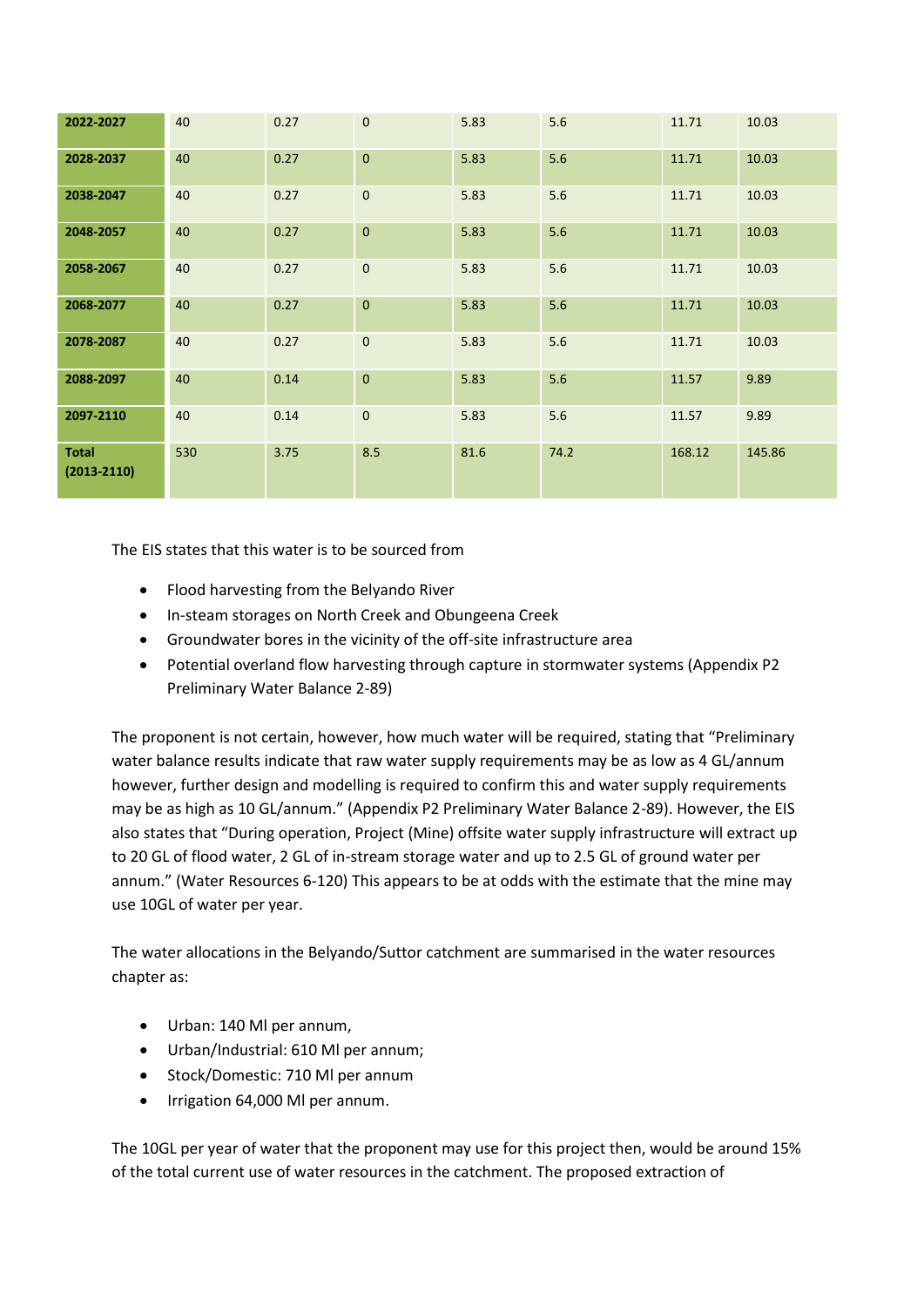| 2022-2027                       | 40  | 0.27 | $\mathbf{0}$ | 5.83 | 5.6  | 11.71  | 10.03  |
|---------------------------------|-----|------|--------------|------|------|--------|--------|
| 2028-2037                       | 40  | 0.27 | $\mathbf{0}$ | 5.83 | 5.6  | 11.71  | 10.03  |
| 2038-2047                       | 40  | 0.27 | $\mathbf{0}$ | 5.83 | 5.6  | 11.71  | 10.03  |
| 2048-2057                       | 40  | 0.27 | $\mathbf{0}$ | 5.83 | 5.6  | 11.71  | 10.03  |
| 2058-2067                       | 40  | 0.27 | $\mathbf{0}$ | 5.83 | 5.6  | 11.71  | 10.03  |
| 2068-2077                       | 40  | 0.27 | $\pmb{0}$    | 5.83 | 5.6  | 11.71  | 10.03  |
| 2078-2087                       | 40  | 0.27 | $\mathbf{0}$ | 5.83 | 5.6  | 11.71  | 10.03  |
| 2088-2097                       | 40  | 0.14 | $\pmb{0}$    | 5.83 | 5.6  | 11.57  | 9.89   |
| 2097-2110                       | 40  | 0.14 | $\pmb{0}$    | 5.83 | 5.6  | 11.57  | 9.89   |
| <b>Total</b><br>$(2013 - 2110)$ | 530 | 3.75 | 8.5          | 81.6 | 74.2 | 168.12 | 145.86 |

The EIS states that this water is to be sourced from

- Flood harvesting from the Belyando River
- In-steam storages on North Creek and Obungeena Creek
- Groundwater bores in the vicinity of the off-site infrastructure area
- Potential overland flow harvesting through capture in stormwater systems (Appendix P2 Preliminary Water Balance 2-89)

The proponent is not certain, however, how much water will be required, stating that "Preliminary water balance results indicate that raw water supply requirements may be as low as 4 GL/annum however, further design and modelling is required to confirm this and water supply requirements may be as high as 10 GL/annum." (Appendix P2 Preliminary Water Balance 2-89). However, the EIS also states that "During operation, Project (Mine) offsite water supply infrastructure will extract up to 20 GL of flood water, 2 GL of in-stream storage water and up to 2.5 GL of ground water per annum." (Water Resources 6-120) This appears to be at odds with the estimate that the mine may use 10GL of water per year.

The water allocations in the Belyando/Suttor catchment are summarised in the water resources chapter as:

- Urban: 140 Ml per annum,
- Urban/Industrial: 610 Ml per annum;
- Stock/Domestic: 710 Ml per annum
- Irrigation 64,000 Ml per annum.

The 10GL per year of water that the proponent may use for this project then, would be around 15% of the total current use of water resources in the catchment. The proposed extraction of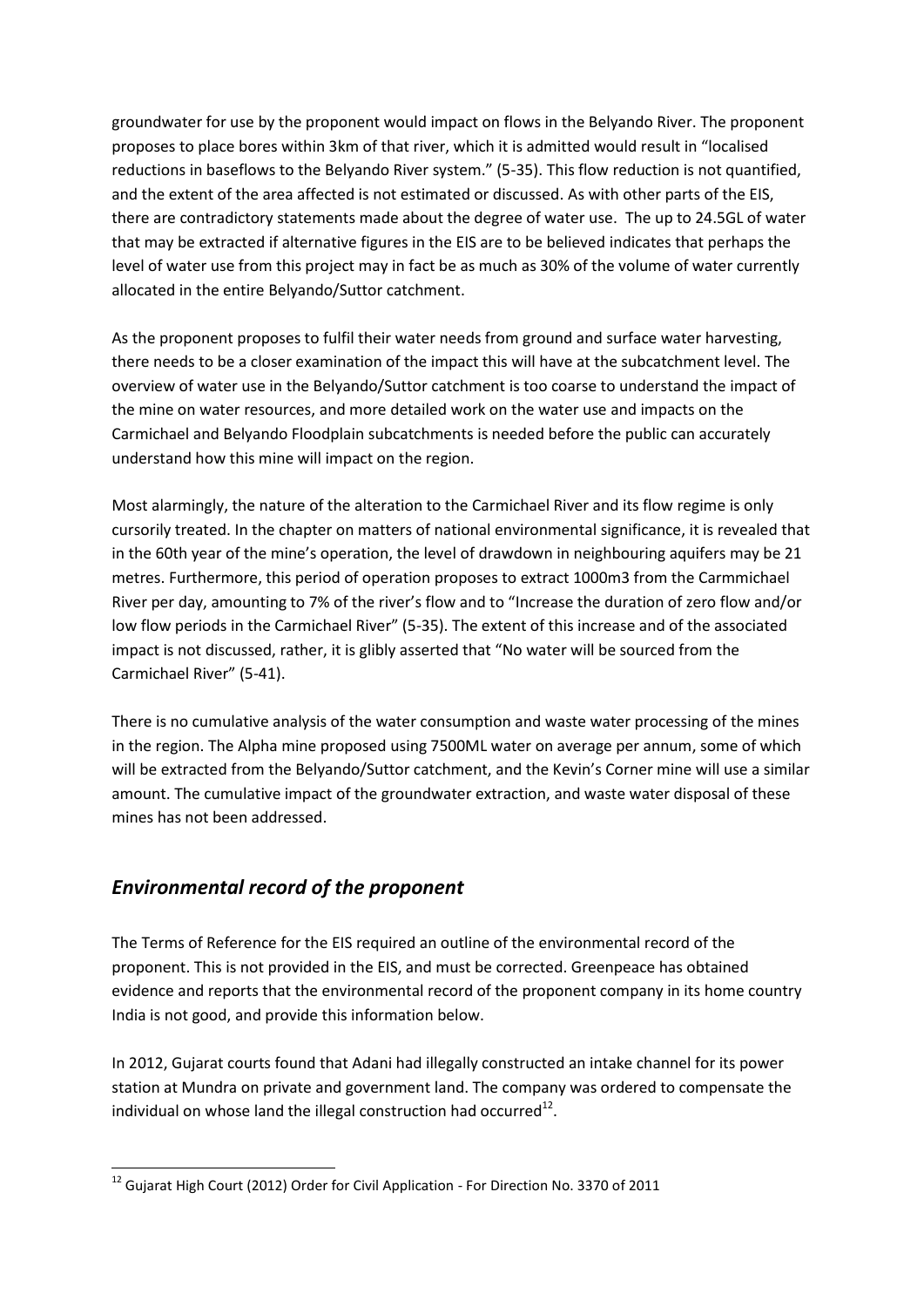groundwater for use by the proponent would impact on flows in the Belyando River. The proponent proposes to place bores within 3km of that river, which it is admitted would result in "localised reductions in baseflows to the Belyando River system." (5-35). This flow reduction is not quantified, and the extent of the area affected is not estimated or discussed. As with other parts of the EIS, there are contradictory statements made about the degree of water use. The up to 24.5GL of water that may be extracted if alternative figures in the EIS are to be believed indicates that perhaps the level of water use from this project may in fact be as much as 30% of the volume of water currently allocated in the entire Belyando/Suttor catchment.

As the proponent proposes to fulfil their water needs from ground and surface water harvesting, there needs to be a closer examination of the impact this will have at the subcatchment level. The overview of water use in the Belyando/Suttor catchment is too coarse to understand the impact of the mine on water resources, and more detailed work on the water use and impacts on the Carmichael and Belyando Floodplain subcatchments is needed before the public can accurately understand how this mine will impact on the region.

Most alarmingly, the nature of the alteration to the Carmichael River and its flow regime is only cursorily treated. In the chapter on matters of national environmental significance, it is revealed that in the 60th year of the mine's operation, the level of drawdown in neighbouring aquifers may be 21 metres. Furthermore, this period of operation proposes to extract 1000m3 from the Carmmichael River per day, amounting to 7% of the river's flow and to "Increase the duration of zero flow and/or low flow periods in the Carmichael River" (5-35). The extent of this increase and of the associated impact is not discussed, rather, it is glibly asserted that "No water will be sourced from the Carmichael River" (5-41).

There is no cumulative analysis of the water consumption and waste water processing of the mines in the region. The Alpha mine proposed using 7500ML water on average per annum, some of which will be extracted from the Belyando/Suttor catchment, and the Kevin's Corner mine will use a similar amount. The cumulative impact of the groundwater extraction, and waste water disposal of these mines has not been addressed.

## *Environmental record of the proponent*

The Terms of Reference for the EIS required an outline of the environmental record of the proponent. This is not provided in the EIS, and must be corrected. Greenpeace has obtained evidence and reports that the environmental record of the proponent company in its home country India is not good, and provide this information below.

In 2012, Gujarat courts found that Adani had illegally constructed an intake channel for its power station at Mundra on private and government land. The company was ordered to compensate the individual on whose land the illegal construction had occurred<sup>12</sup>.

**<sup>.</sup>**  $12$  Gujarat High Court (2012) Order for Civil Application - For Direction No. 3370 of 2011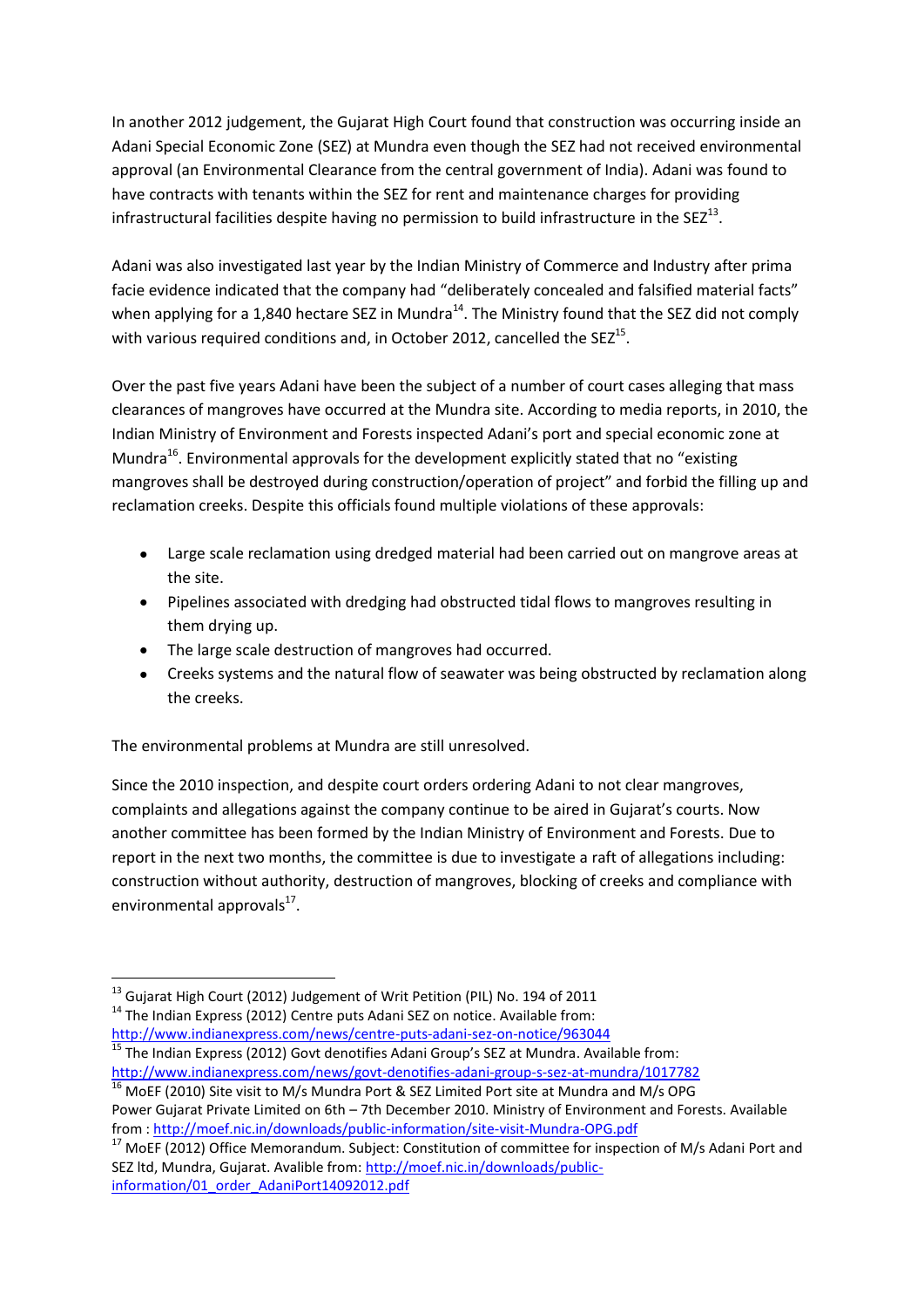In another 2012 judgement, the Gujarat High Court found that construction was occurring inside an Adani Special Economic Zone (SEZ) at Mundra even though the SEZ had not received environmental approval (an Environmental Clearance from the central government of India). Adani was found to have contracts with tenants within the SEZ for rent and maintenance charges for providing infrastructural facilities despite having no permission to build infrastructure in the SEZ $^{13}$ .

Adani was also investigated last year by the Indian Ministry of Commerce and Industry after prima facie evidence indicated that the company had "deliberately concealed and falsified material facts" when applying for a 1,840 hectare SEZ in Mundra<sup>14</sup>. The Ministry found that the SEZ did not comply with various required conditions and, in October 2012, cancelled the SE $Z^{15}$ .

Over the past five years Adani have been the subject of a number of court cases alleging that mass clearances of mangroves have occurred at the Mundra site. According to media reports, in 2010, the Indian Ministry of Environment and Forests inspected Adani's port and special economic zone at Mundra<sup>16</sup>. Environmental approvals for the development explicitly stated that no "existing" mangroves shall be destroyed during construction/operation of project" and forbid the filling up and reclamation creeks. Despite this officials found multiple violations of these approvals:

- Large scale reclamation using dredged material had been carried out on mangrove areas at the site.
- Pipelines associated with dredging had obstructed tidal flows to mangroves resulting in them drying up.
- The large scale destruction of mangroves had occurred.
- Creeks systems and the natural flow of seawater was being obstructed by reclamation along the creeks.

The environmental problems at Mundra are still unresolved.

Since the 2010 inspection, and despite court orders ordering Adani to not clear mangroves, complaints and allegations against the company continue to be aired in Gujarat's courts. Now another committee has been formed by the Indian Ministry of Environment and Forests. Due to report in the next two months, the committee is due to investigate a raft of allegations including: construction without authority, destruction of mangroves, blocking of creeks and compliance with environmental approvals<sup>17</sup>.

<sup>15</sup> The Indian Express (2012) Govt denotifies Adani Group's SEZ at Mundra. Available from: <http://www.indianexpress.com/news/govt-denotifies-adani-group-s-sez-at-mundra/1017782>  $^{16}$  MoEF (2010) Site visit to M/s Mundra Port & SEZ Limited Port site at Mundra and M/s OPG

**<sup>.</sup>**  $^{13}$  Gujarat High Court (2012) Judgement of Writ Petition (PIL) No. 194 of 2011

<sup>&</sup>lt;sup>14</sup> The Indian Express (2012) Centre puts Adani SEZ on notice. Available from: <http://www.indianexpress.com/news/centre-puts-adani-sez-on-notice/963044>

Power Gujarat Private Limited on 6th – 7th December 2010. Ministry of Environment and Forests. Available from :<http://moef.nic.in/downloads/public-information/site-visit-Mundra-OPG.pdf>

<sup>&</sup>lt;sup>17</sup> MoEF (2012) Office Memorandum. Subject: Constitution of committee for inspection of M/s Adani Port and SEZ ltd, Mundra, Gujarat. Avalible from: [http://moef.nic.in/downloads/public](http://moef.nic.in/downloads/public-information/01_order_AdaniPort14092012.pdf)[information/01\\_order\\_AdaniPort14092012.pdf](http://moef.nic.in/downloads/public-information/01_order_AdaniPort14092012.pdf)